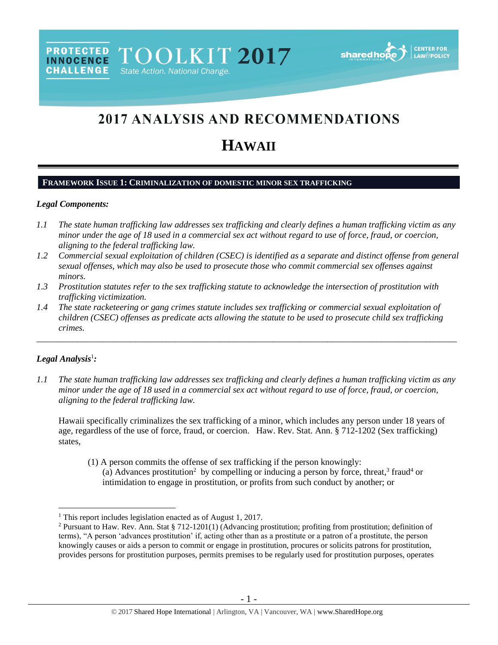

# 2017 ANALYSIS AND RECOMMENDATIONS

# **HAWAII**

#### **FRAMEWORK ISSUE 1: CRIMINALIZATION OF DOMESTIC MINOR SEX TRAFFICKING**

#### *Legal Components:*

**CHALLENGE** 

- *1.1 The state human trafficking law addresses sex trafficking and clearly defines a human trafficking victim as any minor under the age of 18 used in a commercial sex act without regard to use of force, fraud, or coercion, aligning to the federal trafficking law.*
- *1.2 Commercial sexual exploitation of children (CSEC) is identified as a separate and distinct offense from general sexual offenses, which may also be used to prosecute those who commit commercial sex offenses against minors.*
- *1.3 Prostitution statutes refer to the sex trafficking statute to acknowledge the intersection of prostitution with trafficking victimization.*
- *1.4 The state racketeering or gang crimes statute includes sex trafficking or commercial sexual exploitation of children (CSEC) offenses as predicate acts allowing the statute to be used to prosecute child sex trafficking crimes.*

\_\_\_\_\_\_\_\_\_\_\_\_\_\_\_\_\_\_\_\_\_\_\_\_\_\_\_\_\_\_\_\_\_\_\_\_\_\_\_\_\_\_\_\_\_\_\_\_\_\_\_\_\_\_\_\_\_\_\_\_\_\_\_\_\_\_\_\_\_\_\_\_\_\_\_\_\_\_\_\_\_\_\_\_\_\_\_\_\_\_\_\_\_\_

# *Legal Analysis*<sup>1</sup> *:*

 $\overline{a}$ 

*1.1 The state human trafficking law addresses sex trafficking and clearly defines a human trafficking victim as any minor under the age of 18 used in a commercial sex act without regard to use of force, fraud, or coercion, aligning to the federal trafficking law.*

Hawaii specifically criminalizes the sex trafficking of a minor, which includes any person under 18 years of age, regardless of the use of force, fraud, or coercion. Haw. Rev. Stat. Ann. § 712-1202 (Sex trafficking) states,

(1) A person commits the offense of sex trafficking if the person knowingly: (a) Advances prostitution<sup>2</sup> by compelling or inducing a person by force, threat,<sup>3</sup> fraud<sup>4</sup> or intimidation to engage in prostitution, or profits from such conduct by another; or

<sup>&</sup>lt;sup>1</sup> This report includes legislation enacted as of August 1, 2017.

<sup>&</sup>lt;sup>2</sup> Pursuant to Haw. Rev. Ann. Stat § 712-1201(1) (Advancing prostitution; profiting from prostitution; definition of terms), "A person 'advances prostitution' if, acting other than as a prostitute or a patron of a prostitute, the person knowingly causes or aids a person to commit or engage in prostitution, procures or solicits patrons for prostitution, provides persons for prostitution purposes, permits premises to be regularly used for prostitution purposes, operates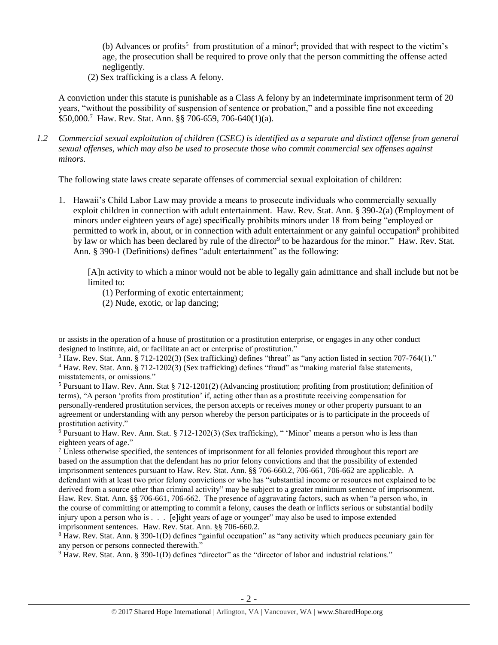<span id="page-1-0"></span>(b) Advances or profits<sup>5</sup> from prostitution of a minor<sup>6</sup>; provided that with respect to the victim's age, the prosecution shall be required to prove only that the person committing the offense acted negligently.

(2) Sex trafficking is a class A felony.

A conviction under this statute is punishable as a Class A felony by an indeterminate imprisonment term of 20 years, "without the possibility of suspension of sentence or probation," and a possible fine not exceeding \$50,000.<sup>7</sup> Haw. Rev. Stat. Ann. §§ 706-659, 706-640(1)(a).

*1.2 Commercial sexual exploitation of children (CSEC) is identified as a separate and distinct offense from general sexual offenses, which may also be used to prosecute those who commit commercial sex offenses against minors.*

The following state laws create separate offenses of commercial sexual exploitation of children:

1. Hawaii's Child Labor Law may provide a means to prosecute individuals who commercially sexually exploit children in connection with adult entertainment. Haw. Rev. Stat. Ann. § 390-2(a) (Employment of minors under eighteen years of age) specifically prohibits minors under 18 from being "employed or permitted to work in, about, or in connection with adult entertainment or any gainful occupation<sup>8</sup> prohibited by law or which has been declared by rule of the director<sup>9</sup> to be hazardous for the minor." Haw. Rev. Stat. Ann. § 390-1 (Definitions) defines "adult entertainment" as the following:

[A]n activity to which a minor would not be able to legally gain admittance and shall include but not be limited to:

- (1) Performing of exotic entertainment;
- (2) Nude, exotic, or lap dancing;

 $\overline{a}$ 

 $3$  Haw. Rev. Stat. Ann. § 712-1202(3) (Sex trafficking) defines "threat" as "any action listed in section 707-764(1)."

or assists in the operation of a house of prostitution or a prostitution enterprise, or engages in any other conduct designed to institute, aid, or facilitate an act or enterprise of prostitution."

<sup>4</sup> Haw. Rev. Stat. Ann. § 712-1202(3) (Sex trafficking) defines "fraud" as "making material false statements, misstatements, or omissions."

<sup>5</sup> Pursuant to Haw. Rev. Ann. Stat § 712-1201(2) (Advancing prostitution; profiting from prostitution; definition of terms), "A person 'profits from prostitution' if, acting other than as a prostitute receiving compensation for personally-rendered prostitution services, the person accepts or receives money or other property pursuant to an agreement or understanding with any person whereby the person participates or is to participate in the proceeds of prostitution activity."

<sup>6</sup> Pursuant to Haw. Rev. Ann. Stat. § 712-1202(3) (Sex trafficking), " 'Minor' means a person who is less than eighteen years of age."

<sup>7</sup> Unless otherwise specified, the sentences of imprisonment for all felonies provided throughout this report are based on the assumption that the defendant has no prior felony convictions and that the possibility of extended imprisonment sentences pursuant to Haw. Rev. Stat. Ann. §§ 706-660.2, 706-661, 706-662 are applicable. A defendant with at least two prior felony convictions or who has "substantial income or resources not explained to be derived from a source other than criminal activity" may be subject to a greater minimum sentence of imprisonment. Haw. Rev. Stat. Ann. §§ 706-661, 706-662. The presence of aggravating factors, such as when "a person who, in the course of committing or attempting to commit a felony, causes the death or inflicts serious or substantial bodily injury upon a person who is . . . [e]ight years of age or younger" may also be used to impose extended imprisonment sentences. Haw. Rev. Stat. Ann. §§ 706-660.2.

<sup>8</sup> Haw. Rev. Stat. Ann. § 390-1(D) defines "gainful occupation" as "any activity which produces pecuniary gain for any person or persons connected therewith."

<sup>9</sup> Haw. Rev. Stat. Ann. § 390-1(D) defines "director" as the "director of labor and industrial relations."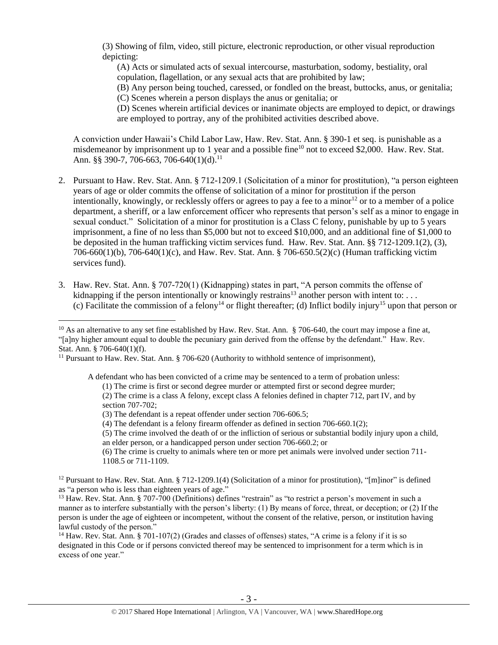(3) Showing of film, video, still picture, electronic reproduction, or other visual reproduction depicting:

(A) Acts or simulated acts of sexual intercourse, masturbation, sodomy, bestiality, oral copulation, flagellation, or any sexual acts that are prohibited by law;

(B) Any person being touched, caressed, or fondled on the breast, buttocks, anus, or genitalia;

(C) Scenes wherein a person displays the anus or genitalia; or

(D) Scenes wherein artificial devices or inanimate objects are employed to depict, or drawings are employed to portray, any of the prohibited activities described above.

A conviction under Hawaii's Child Labor Law, Haw. Rev. Stat. Ann. § 390-1 et seq. is punishable as a misdemeanor by imprisonment up to 1 year and a possible fine<sup>10</sup> not to exceed \$2,000. Haw. Rev. Stat. Ann.  $88$  390-7, 706-663, 706-640(1)(d).<sup>11</sup>

- 2. Pursuant to Haw. Rev. Stat. Ann. § 712-1209.1 (Solicitation of a minor for prostitution), "a person eighteen years of age or older commits the offense of solicitation of a minor for prostitution if the person intentionally, knowingly, or recklessly offers or agrees to pay a fee to a minor<sup>12</sup> or to a member of a police department, a sheriff, or a law enforcement officer who represents that person's self as a minor to engage in sexual conduct." Solicitation of a minor for prostitution is a Class C felony, punishable by up to 5 years imprisonment, a fine of no less than \$5,000 but not to exceed \$10,000, and an additional fine of \$1,000 to be deposited in the human trafficking victim services fund. Haw. Rev. Stat. Ann. §§ 712-1209.1(2), (3), 706-660(1)(b), 706-640(1)(c), and Haw. Rev. Stat. Ann. § 706-650.5(2)(c) (Human trafficking victim services fund).
- 3. Haw. Rev. Stat. Ann. § 707-720(1) (Kidnapping) states in part, "A person commits the offense of kidnapping if the person intentionally or knowingly restrains<sup>13</sup> another person with intent to: ... (c) Facilitate the commission of a felony<sup>14</sup> or flight thereafter; (d) Inflict bodily injury<sup>15</sup> upon that person or

A defendant who has been convicted of a crime may be sentenced to a term of probation unless:

(1) The crime is first or second degree murder or attempted first or second degree murder;

 $\overline{a}$ 

an elder person, or a handicapped person under section 706-660.2; or

<sup>14</sup> Haw. Rev. Stat. Ann. § 701-107(2) (Grades and classes of offenses) states, "A crime is a felony if it is so designated in this Code or if persons convicted thereof may be sentenced to imprisonment for a term which is in excess of one year."

<sup>&</sup>lt;sup>10</sup> As an alternative to any set fine established by Haw. Rev. Stat. Ann. § 706-640, the court may impose a fine at, "[a]ny higher amount equal to double the pecuniary gain derived from the offense by the defendant." Haw. Rev. Stat. Ann. § 706-640(1)(f).

<sup>&</sup>lt;sup>11</sup> Pursuant to Haw. Rev. Stat. Ann. § 706-620 (Authority to withhold sentence of imprisonment),

<sup>(2)</sup> The crime is a class A felony, except class A felonies defined in chapter 712, part IV, and by section 707-702;

<sup>(3)</sup> The defendant is a repeat offender under section 706-606.5;

<sup>(4)</sup> The defendant is a felony firearm offender as defined in section 706-660.1(2);

<sup>(5)</sup> The crime involved the death of or the infliction of serious or substantial bodily injury upon a child,

<sup>(6)</sup> The crime is cruelty to animals where ten or more pet animals were involved under section 711- 1108.5 or 711-1109.

<sup>&</sup>lt;sup>12</sup> Pursuant to Haw. Rev. Stat. Ann. § 712-1209.1(4) (Solicitation of a minor for prostitution), "[m]inor" is defined as "a person who is less than eighteen years of age."

<sup>&</sup>lt;sup>13</sup> Haw. Rev. Stat. Ann. § 707-700 (Definitions) defines "restrain" as "to restrict a person's movement in such a manner as to interfere substantially with the person's liberty: (1) By means of force, threat, or deception; or (2) If the person is under the age of eighteen or incompetent, without the consent of the relative, person, or institution having lawful custody of the person."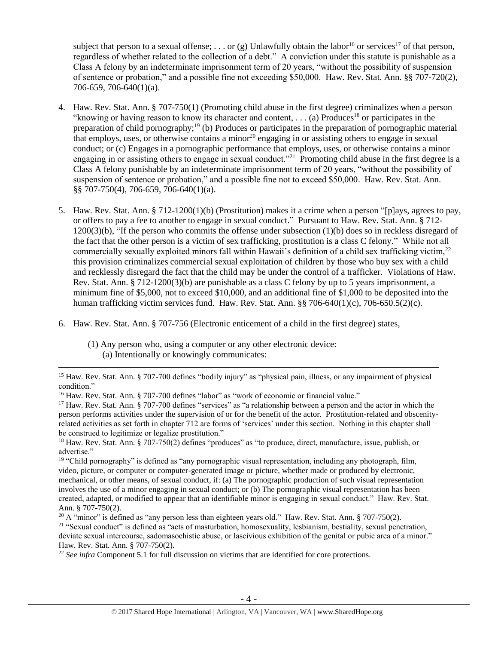subject that person to a sexual offense; ... or (g) Unlawfully obtain the labor<sup>16</sup> or services<sup>17</sup> of that person, regardless of whether related to the collection of a debt." A conviction under this statute is punishable as a Class A felony by an indeterminate imprisonment term of 20 years, "without the possibility of suspension of sentence or probation," and a possible fine not exceeding \$50,000. Haw. Rev. Stat. Ann. §§ 707-720(2), 706-659, 706-640(1)(a).

- <span id="page-3-0"></span>4. Haw. Rev. Stat. Ann. § 707-750(1) (Promoting child abuse in the first degree) criminalizes when a person "knowing or having reason to know its character and content, ... (a) Produces<sup>18</sup> or participates in the preparation of child pornography;<sup>19</sup> (b) Produces or participates in the preparation of pornographic material that employs, uses, or otherwise contains a minor<sup>20</sup> engaging in or assisting others to engage in sexual conduct; or (c) Engages in a pornographic performance that employs, uses, or otherwise contains a minor engaging in or assisting others to engage in sexual conduct."<sup>21</sup> Promoting child abuse in the first degree is a Class A felony punishable by an indeterminate imprisonment term of 20 years, "without the possibility of suspension of sentence or probation," and a possible fine not to exceed \$50,000. Haw. Rev. Stat. Ann. §§ 707-750(4), 706-659, 706-640(1)(a).
- 5. Haw. Rev. Stat. Ann. § 712-1200(1)(b) (Prostitution) makes it a crime when a person "[p]ays, agrees to pay, or offers to pay a fee to another to engage in sexual conduct." Pursuant to Haw. Rev. Stat. Ann. § 712- 1200(3)(b), "If the person who commits the offense under subsection (1)(b) does so in reckless disregard of the fact that the other person is a victim of sex trafficking, prostitution is a class C felony." While not all commercially sexually exploited minors fall within Hawaii's definition of a child sex trafficking victim,<sup>22</sup> this provision criminalizes commercial sexual exploitation of children by those who buy sex with a child and recklessly disregard the fact that the child may be under the control of a trafficker. Violations of Haw. Rev. Stat. Ann. § 712-1200(3)(b) are punishable as a class C felony by up to 5 years imprisonment, a minimum fine of \$5,000, not to exceed \$10,000, and an additional fine of \$1,000 to be deposited into the human trafficking victim services fund. Haw. Rev. Stat. Ann.  $\S$ § 706-640(1)(c), 706-650.5(2)(c).
- 6. Haw. Rev. Stat. Ann. § 707-756 (Electronic enticement of a child in the first degree) states,
	- (1) Any person who, using a computer or any other electronic device: (a) Intentionally or knowingly communicates:

 $\overline{a}$ 

<sup>&</sup>lt;sup>15</sup> Haw. Rev. Stat. Ann. § 707-700 defines "bodily injury" as "physical pain, illness, or any impairment of physical condition."

<sup>&</sup>lt;sup>16</sup> Haw. Rev. Stat. Ann. § 707-700 defines "labor" as "work of economic or financial value."

<sup>&</sup>lt;sup>17</sup> Haw. Rev. Stat. Ann. § 707-700 defines "services" as "a relationship between a person and the actor in which the person performs activities under the supervision of or for the benefit of the actor. Prostitution-related and obscenityrelated activities as set forth in chapter 712 are forms of 'services' under this section. Nothing in this chapter shall be construed to legitimize or legalize prostitution."

<sup>&</sup>lt;sup>18</sup> Haw. Rev. Stat. Ann. § 707-750(2) defines "produces" as "to produce, direct, manufacture, issue, publish, or advertise."

<sup>&</sup>lt;sup>19</sup> "Child pornography" is defined as "any pornographic visual representation, including any photograph, film, video, picture, or computer or computer-generated image or picture, whether made or produced by electronic, mechanical, or other means, of sexual conduct, if: (a) The pornographic production of such visual representation involves the use of a minor engaging in sexual conduct; or (b) The pornographic visual representation has been created, adapted, or modified to appear that an identifiable minor is engaging in sexual conduct." Haw. Rev. Stat. Ann. § 707-750(2).

 $20$  A "minor" is defined as "any person less than eighteen years old." Haw. Rev. Stat. Ann. § 707-750(2).

 $21$  "Sexual conduct" is defined as "acts of masturbation, homosexuality, lesbianism, bestiality, sexual penetration, deviate sexual intercourse, sadomasochistic abuse, or lascivious exhibition of the genital or pubic area of a minor." Haw. Rev. Stat. Ann. § 707-750(2).

<sup>22</sup> *See infra* Component 5.1 for full discussion on victims that are identified for core protections.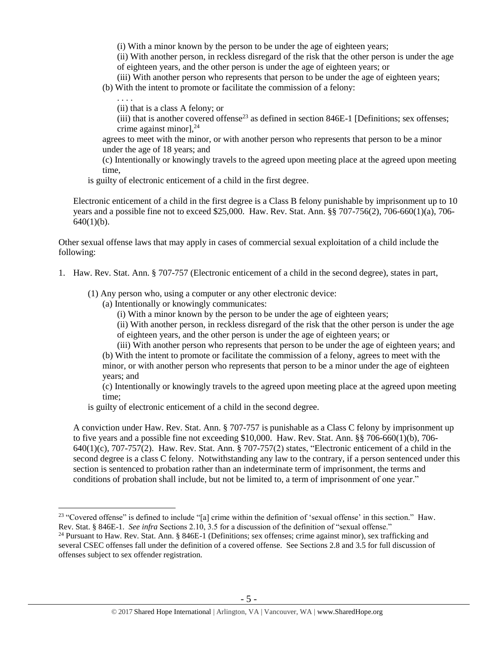(i) With a minor known by the person to be under the age of eighteen years;

(ii) With another person, in reckless disregard of the risk that the other person is under the age of eighteen years, and the other person is under the age of eighteen years; or

(iii) With another person who represents that person to be under the age of eighteen years;

(b) With the intent to promote or facilitate the commission of a felony:

(ii) that is a class A felony; or

. . . .

 $\overline{a}$ 

(iii) that is another covered offense<sup>23</sup> as defined in section 846E-1 [Definitions; sex offenses; crime against minor], $^{24}$ 

agrees to meet with the minor, or with another person who represents that person to be a minor under the age of 18 years; and

(c) Intentionally or knowingly travels to the agreed upon meeting place at the agreed upon meeting time,

is guilty of electronic enticement of a child in the first degree.

Electronic enticement of a child in the first degree is a Class B felony punishable by imprisonment up to 10 years and a possible fine not to exceed \$25,000. Haw. Rev. Stat. Ann. §§ 707-756(2), 706-660(1)(a), 706-  $640(1)(b)$ .

Other sexual offense laws that may apply in cases of commercial sexual exploitation of a child include the following:

- 1. Haw. Rev. Stat. Ann. § 707-757 (Electronic enticement of a child in the second degree), states in part,
	- (1) Any person who, using a computer or any other electronic device:
		- (a) Intentionally or knowingly communicates:
			- (i) With a minor known by the person to be under the age of eighteen years;
			- (ii) With another person, in reckless disregard of the risk that the other person is under the age of eighteen years, and the other person is under the age of eighteen years; or
			-

(iii) With another person who represents that person to be under the age of eighteen years; and (b) With the intent to promote or facilitate the commission of a felony, agrees to meet with the minor, or with another person who represents that person to be a minor under the age of eighteen years; and

(c) Intentionally or knowingly travels to the agreed upon meeting place at the agreed upon meeting time;

is guilty of electronic enticement of a child in the second degree.

A conviction under Haw. Rev. Stat. Ann. § 707-757 is punishable as a Class C felony by imprisonment up to five years and a possible fine not exceeding \$10,000. Haw. Rev. Stat. Ann. §§ 706-660(1)(b), 706- 640(1)(c), 707-757(2). Haw. Rev. Stat. Ann. § 707-757(2) states, "Electronic enticement of a child in the second degree is a class C felony. Notwithstanding any law to the contrary, if a person sentenced under this section is sentenced to probation rather than an indeterminate term of imprisonment, the terms and conditions of probation shall include, but not be limited to, a term of imprisonment of one year."

<sup>&</sup>lt;sup>23</sup> "Covered offense" is defined to include "[a] crime within the definition of 'sexual offense' in this section." Haw. Rev. Stat. § 846E-1. *See infra* Sections 2.10, 3.5 for a discussion of the definition of "sexual offense."

<sup>&</sup>lt;sup>24</sup> Pursuant to Haw. Rev. Stat. Ann. § 846E-1 (Definitions; sex offenses; crime against minor), sex trafficking and several CSEC offenses fall under the definition of a covered offense. See Sections 2.8 and 3.5 for full discussion of offenses subject to sex offender registration.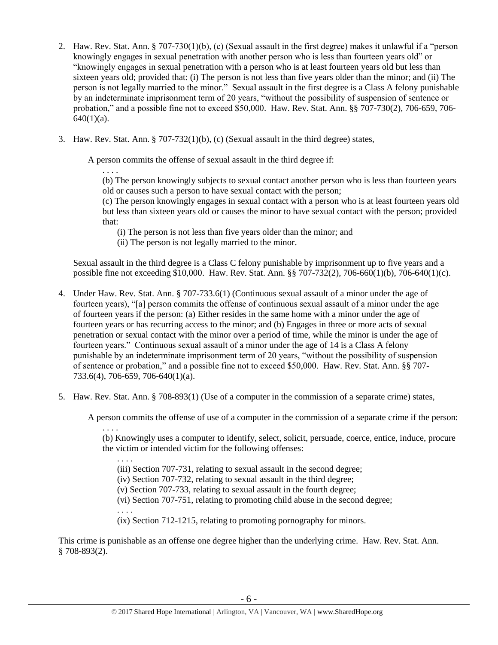- 2. Haw. Rev. Stat. Ann. § 707-730(1)(b), (c) (Sexual assault in the first degree) makes it unlawful if a "person knowingly engages in sexual penetration with another person who is less than fourteen years old" or "knowingly engages in sexual penetration with a person who is at least fourteen years old but less than sixteen years old; provided that: (i) The person is not less than five years older than the minor; and (ii) The person is not legally married to the minor." Sexual assault in the first degree is a Class A felony punishable by an indeterminate imprisonment term of 20 years, "without the possibility of suspension of sentence or probation," and a possible fine not to exceed \$50,000. Haw. Rev. Stat. Ann. §§ 707-730(2), 706-659, 706-  $640(1)(a)$ .
- 3. Haw. Rev. Stat. Ann. § 707-732(1)(b), (c) (Sexual assault in the third degree) states,

A person commits the offense of sexual assault in the third degree if:

. . . . (b) The person knowingly subjects to sexual contact another person who is less than fourteen years old or causes such a person to have sexual contact with the person;

(c) The person knowingly engages in sexual contact with a person who is at least fourteen years old but less than sixteen years old or causes the minor to have sexual contact with the person; provided that:

(i) The person is not less than five years older than the minor; and

(ii) The person is not legally married to the minor.

Sexual assault in the third degree is a Class C felony punishable by imprisonment up to five years and a possible fine not exceeding \$10,000. Haw. Rev. Stat. Ann. §§ 707-732(2), 706-660(1)(b), 706-640(1)(c).

- 4. Under Haw. Rev. Stat. Ann. § 707-733.6(1) (Continuous sexual assault of a minor under the age of fourteen years), "[a] person commits the offense of continuous sexual assault of a minor under the age of fourteen years if the person: (a) Either resides in the same home with a minor under the age of fourteen years or has recurring access to the minor; and (b) Engages in three or more acts of sexual penetration or sexual contact with the minor over a period of time, while the minor is under the age of fourteen years." Continuous sexual assault of a minor under the age of 14 is a Class A felony punishable by an indeterminate imprisonment term of 20 years, "without the possibility of suspension of sentence or probation," and a possible fine not to exceed \$50,000. Haw. Rev. Stat. Ann. §§ 707- 733.6(4), 706-659, 706-640(1)(a).
- 5. Haw. Rev. Stat. Ann. § 708-893(1) (Use of a computer in the commission of a separate crime) states,

A person commits the offense of use of a computer in the commission of a separate crime if the person:

. . . .

(b) Knowingly uses a computer to identify, select, solicit, persuade, coerce, entice, induce, procure the victim or intended victim for the following offenses:

. . . .

(iii) Section 707-731, relating to sexual assault in the second degree;

(iv) Section 707-732, relating to sexual assault in the third degree;

(v) Section 707-733, relating to sexual assault in the fourth degree;

(vi) Section 707-751, relating to promoting child abuse in the second degree;

. . . .

(ix) Section 712-1215, relating to promoting pornography for minors.

This crime is punishable as an offense one degree higher than the underlying crime. Haw. Rev. Stat. Ann. § 708-893(2).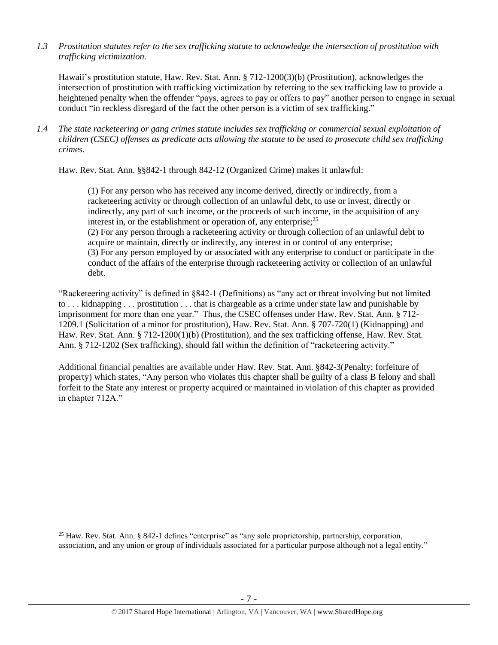*1.3 Prostitution statutes refer to the sex trafficking statute to acknowledge the intersection of prostitution with trafficking victimization.* 

Hawaii's prostitution statute, Haw. Rev. Stat. Ann. § 712-1200(3)(b) (Prostitution), acknowledges the intersection of prostitution with trafficking victimization by referring to the sex trafficking law to provide a heightened penalty when the offender "pays, agrees to pay or offers to pay" another person to engage in sexual conduct "in reckless disregard of the fact the other person is a victim of sex trafficking."

*1.4 The state racketeering or gang crimes statute includes sex trafficking or commercial sexual exploitation of children (CSEC) offenses as predicate acts allowing the statute to be used to prosecute child sex trafficking crimes.* 

Haw. Rev. Stat. Ann. §§842-1 through 842-12 (Organized Crime) makes it unlawful:

(1) For any person who has received any income derived, directly or indirectly, from a racketeering activity or through collection of an unlawful debt, to use or invest, directly or indirectly, any part of such income, or the proceeds of such income, in the acquisition of any interest in, or the establishment or operation of, any enterprise;<sup>25</sup> (2) For any person through a racketeering activity or through collection of an unlawful debt to acquire or maintain, directly or indirectly, any interest in or control of any enterprise; (3) For any person employed by or associated with any enterprise to conduct or participate in the conduct of the affairs of the enterprise through racketeering activity or collection of an unlawful debt.

"Racketeering activity" is defined in §842-1 (Definitions) as "any act or threat involving but not limited to . . . kidnapping . . . prostitution . . . that is chargeable as a crime under state law and punishable by imprisonment for more than one year." Thus, the CSEC offenses under Haw. Rev. Stat. Ann. § 712- 1209.1 (Solicitation of a minor for prostitution), Haw. Rev. Stat. Ann. § 707-720(1) (Kidnapping) and Haw. Rev. Stat. Ann. § 712-1200(1)(b) (Prostitution), and the sex trafficking offense, Haw. Rev. Stat. Ann. § 712-1202 (Sex trafficking), should fall within the definition of "racketeering activity."

Additional financial penalties are available under Haw. Rev. Stat. Ann. §842-3(Penalty; forfeiture of property) which states, "Any person who violates this chapter shall be guilty of a class B felony and shall forfeit to the State any interest or property acquired or maintained in violation of this chapter as provided in chapter 712A."

 $\overline{a}$ 

<sup>25</sup> Haw. Rev. Stat. Ann. § 842-1 defines "enterprise" as "any sole proprietorship, partnership, corporation, association, and any union or group of individuals associated for a particular purpose although not a legal entity."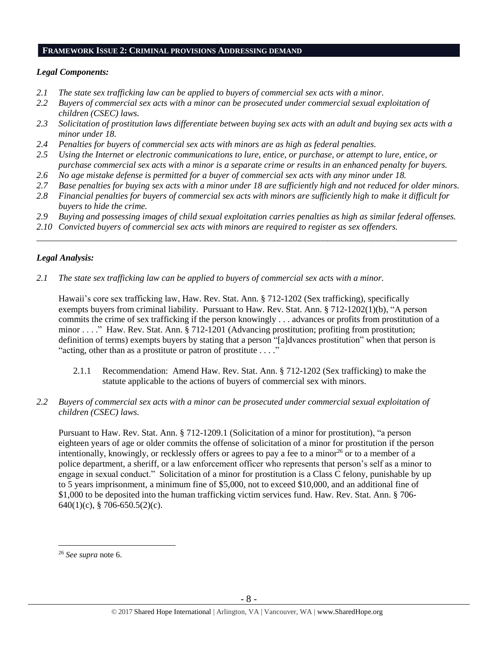#### **FRAMEWORK ISSUE 2: CRIMINAL PROVISIONS ADDRESSING DEMAND**

#### *Legal Components:*

- *2.1 The state sex trafficking law can be applied to buyers of commercial sex acts with a minor.*
- *2.2 Buyers of commercial sex acts with a minor can be prosecuted under commercial sexual exploitation of children (CSEC) laws.*
- *2.3 Solicitation of prostitution laws differentiate between buying sex acts with an adult and buying sex acts with a minor under 18.*
- *2.4 Penalties for buyers of commercial sex acts with minors are as high as federal penalties.*
- *2.5 Using the Internet or electronic communications to lure, entice, or purchase, or attempt to lure, entice, or purchase commercial sex acts with a minor is a separate crime or results in an enhanced penalty for buyers.*
- *2.6 No age mistake defense is permitted for a buyer of commercial sex acts with any minor under 18.*
- *2.7 Base penalties for buying sex acts with a minor under 18 are sufficiently high and not reduced for older minors.*
- *2.8 Financial penalties for buyers of commercial sex acts with minors are sufficiently high to make it difficult for buyers to hide the crime.*
- *2.9 Buying and possessing images of child sexual exploitation carries penalties as high as similar federal offenses.*

\_\_\_\_\_\_\_\_\_\_\_\_\_\_\_\_\_\_\_\_\_\_\_\_\_\_\_\_\_\_\_\_\_\_\_\_\_\_\_\_\_\_\_\_\_\_\_\_\_\_\_\_\_\_\_\_\_\_\_\_\_\_\_\_\_\_\_\_\_\_\_\_\_\_\_\_\_\_\_\_\_\_\_\_\_\_\_\_\_\_\_\_\_\_

*2.10 Convicted buyers of commercial sex acts with minors are required to register as sex offenders.*

# *Legal Analysis:*

*2.1 The state sex trafficking law can be applied to buyers of commercial sex acts with a minor.* 

Hawaii's core sex trafficking law, Haw. Rev. Stat. Ann. § 712-1202 (Sex trafficking), specifically exempts buyers from criminal liability. Pursuant to Haw. Rev. Stat. Ann. § 712-1202(1)(b), "A person commits the crime of sex trafficking if the person knowingly . . . advances or profits from prostitution of a minor . . . ." Haw. Rev. Stat. Ann. § 712-1201 (Advancing prostitution; profiting from prostitution; definition of terms) exempts buyers by stating that a person "[a]dvances prostitution" when that person is "acting, other than as a prostitute or patron of prostitute . . . ."

- 2.1.1 Recommendation: Amend Haw. Rev. Stat. Ann. § 712-1202 (Sex trafficking) to make the statute applicable to the actions of buyers of commercial sex with minors.
- *2.2 Buyers of commercial sex acts with a minor can be prosecuted under commercial sexual exploitation of children (CSEC) laws.*

Pursuant to Haw. Rev. Stat. Ann. § 712-1209.1 (Solicitation of a minor for prostitution), "a person eighteen years of age or older commits the offense of solicitation of a minor for prostitution if the person intentionally, knowingly, or recklessly offers or agrees to pay a fee to a minor<sup>26</sup> or to a member of a police department, a sheriff, or a law enforcement officer who represents that person's self as a minor to engage in sexual conduct." Solicitation of a minor for prostitution is a Class C felony, punishable by up to 5 years imprisonment, a minimum fine of \$5,000, not to exceed \$10,000, and an additional fine of \$1,000 to be deposited into the human trafficking victim services fund. Haw. Rev. Stat. Ann. § 706- 640(1)(c), § 706-650.5(2)(c).

 $\overline{a}$ 

<sup>26</sup> *See supra* note [6.](#page-1-0)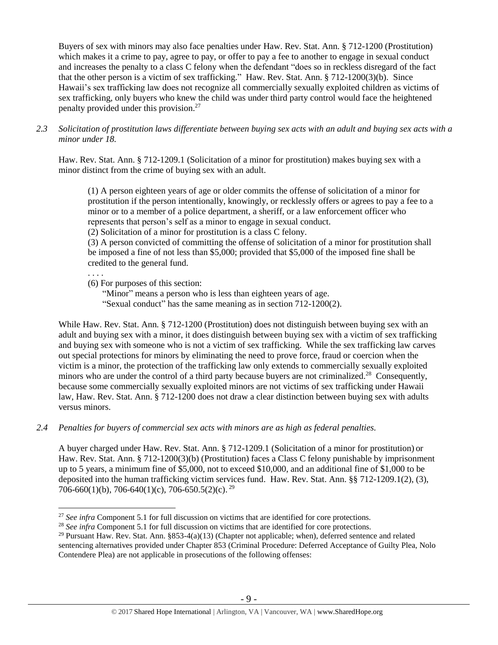Buyers of sex with minors may also face penalties under Haw. Rev. Stat. Ann. § 712-1200 (Prostitution) which makes it a crime to pay, agree to pay, or offer to pay a fee to another to engage in sexual conduct and increases the penalty to a class C felony when the defendant "does so in reckless disregard of the fact that the other person is a victim of sex trafficking." Haw. Rev. Stat. Ann. § 712-1200(3)(b). Since Hawaii's sex trafficking law does not recognize all commercially sexually exploited children as victims of sex trafficking, only buyers who knew the child was under third party control would face the heightened penalty provided under this provision. 27

#### *2.3 Solicitation of prostitution laws differentiate between buying sex acts with an adult and buying sex acts with a minor under 18.*

Haw. Rev. Stat. Ann. § 712-1209.1 (Solicitation of a minor for prostitution) makes buying sex with a minor distinct from the crime of buying sex with an adult.

(1) A person eighteen years of age or older commits the offense of solicitation of a minor for prostitution if the person intentionally, knowingly, or recklessly offers or agrees to pay a fee to a minor or to a member of a police department, a sheriff, or a law enforcement officer who represents that person's self as a minor to engage in sexual conduct.

(2) Solicitation of a minor for prostitution is a class C felony.

(3) A person convicted of committing the offense of solicitation of a minor for prostitution shall be imposed a fine of not less than \$5,000; provided that \$5,000 of the imposed fine shall be credited to the general fund.

. . . .

 $\overline{a}$ 

(6) For purposes of this section:

"Minor" means a person who is less than eighteen years of age. "Sexual conduct" has the same meaning as in section 712-1200(2).

While Haw. Rev. Stat. Ann. § 712-1200 (Prostitution) does not distinguish between buying sex with an adult and buying sex with a minor, it does distinguish between buying sex with a victim of sex trafficking and buying sex with someone who is not a victim of sex trafficking. While the sex trafficking law carves out special protections for minors by eliminating the need to prove force, fraud or coercion when the victim is a minor, the protection of the trafficking law only extends to commercially sexually exploited minors who are under the control of a third party because buyers are not criminalized.<sup>28</sup> Consequently, because some commercially sexually exploited minors are not victims of sex trafficking under Hawaii law, Haw. Rev. Stat. Ann. § 712-1200 does not draw a clear distinction between buying sex with adults versus minors.

*2.4 Penalties for buyers of commercial sex acts with minors are as high as federal penalties.*

A buyer charged under Haw. Rev. Stat. Ann. § 712-1209.1 (Solicitation of a minor for prostitution) or Haw. Rev. Stat. Ann. § 712-1200(3)(b) (Prostitution) faces a Class C felony punishable by imprisonment up to 5 years, a minimum fine of \$5,000, not to exceed \$10,000, and an additional fine of \$1,000 to be deposited into the human trafficking victim services fund. Haw. Rev. Stat. Ann. §§ 712-1209.1(2), (3), 706-660(1)(b), 706-640(1)(c), 706-650.5(2)(c). <sup>29</sup>

<sup>27</sup> *See infra* Component 5.1 for full discussion on victims that are identified for core protections.

<sup>28</sup> *See infra* Component 5.1 for full discussion on victims that are identified for core protections.

<sup>&</sup>lt;sup>29</sup> Pursuant Haw. Rev. Stat. Ann.  $\S 853-4(a)(13)$  (Chapter not applicable; when), deferred sentence and related sentencing alternatives provided under Chapter 853 (Criminal Procedure: Deferred Acceptance of Guilty Plea, Nolo Contendere Plea) are not applicable in prosecutions of the following offenses: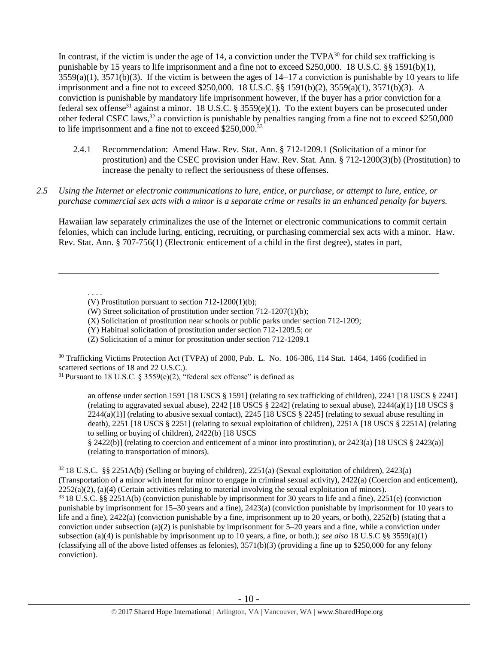<span id="page-9-0"></span>In contrast, if the victim is under the age of 14, a conviction under the  $TVPA^{30}$  for child sex trafficking is punishable by 15 years to life imprisonment and a fine not to exceed \$250,000. 18 U.S.C. §§ 1591(b)(1),  $3559(a)(1)$ ,  $3571(b)(3)$ . If the victim is between the ages of  $14-17$  a conviction is punishable by 10 years to life imprisonment and a fine not to exceed \$250,000. 18 U.S.C. §§ 1591(b)(2), 3559(a)(1), 3571(b)(3). A conviction is punishable by mandatory life imprisonment however, if the buyer has a prior conviction for a federal sex offense<sup>31</sup> against a minor. 18 U.S.C. § 3559(e)(1). To the extent buyers can be prosecuted under other federal CSEC laws,<sup>32</sup> a conviction is punishable by penalties ranging from a fine not to exceed \$250,000 to life imprisonment and a fine not to exceed \$250,000.<sup>33</sup>

- <span id="page-9-1"></span>2.4.1 Recommendation: Amend Haw. Rev. Stat. Ann. § 712-1209.1 (Solicitation of a minor for prostitution) and the CSEC provision under Haw. Rev. Stat. Ann. § 712-1200(3)(b) (Prostitution) to increase the penalty to reflect the seriousness of these offenses.
- *2.5 Using the Internet or electronic communications to lure, entice, or purchase, or attempt to lure, entice, or purchase commercial sex acts with a minor is a separate crime or results in an enhanced penalty for buyers.*

Hawaiian law separately criminalizes the use of the Internet or electronic communications to commit certain felonies, which can include luring, enticing, recruiting, or purchasing commercial sex acts with a minor. Haw. Rev. Stat. Ann. § 707-756(1) (Electronic enticement of a child in the first degree), states in part,

. . . .

 $\overline{a}$ 

(X) Solicitation of prostitution near schools or public parks under section 712-1209;

(Y) Habitual solicitation of prostitution under section 712-1209.5; or

(Z) Solicitation of a minor for prostitution under section 712-1209.1

<sup>30</sup> Trafficking Victims Protection Act (TVPA) of 2000, Pub. L. No. 106-386, 114 Stat. 1464, 1466 (codified in scattered sections of 18 and 22 U.S.C.).

<sup>31</sup> Pursuant to 18 U.S.C. § 3559(e)(2), "federal sex offense" is defined as

an offense under section 1591 [18 USCS § 1591] (relating to sex trafficking of children), 2241 [18 USCS § 2241] (relating to aggravated sexual abuse),  $2242$  [18 USCS § 2242] (relating to sexual abuse),  $2244(a)(1)$  [18 USCS §  $2244(a)(1)$  (relating to abusive sexual contact),  $2245$  [18 USCS § 2245] (relating to sexual abuse resulting in death), 2251 [18 USCS § 2251] (relating to sexual exploitation of children), 2251A [18 USCS § 2251A] (relating to selling or buying of children), 2422(b) [18 USCS

§ 2422(b)] (relating to coercion and enticement of a minor into prostitution), or 2423(a) [18 USCS § 2423(a)] (relating to transportation of minors).

 $32\,18$  U.S.C. §§ 2251A(b) (Selling or buying of children), 2251(a) (Sexual exploitation of children), 2423(a) (Transportation of a minor with intent for minor to engage in criminal sexual activity), 2422(a) (Coercion and enticement),  $2252(a)(2)$ , (a)(4) (Certain activities relating to material involving the sexual exploitation of minors). <sup>33</sup> 18 U.S.C. §§ 2251A(b) (conviction punishable by imprisonment for 30 years to life and a fine), 2251(e) (conviction punishable by imprisonment for 15–30 years and a fine), 2423(a) (conviction punishable by imprisonment for 10 years to life and a fine),  $2422(a)$  (conviction punishable by a fine, imprisonment up to 20 years, or both),  $2252(b)$  (stating that a conviction under subsection (a)(2) is punishable by imprisonment for 5–20 years and a fine, while a conviction under subsection (a)(4) is punishable by imprisonment up to 10 years, a fine, or both.); *see also* 18 U.S.C §§ 3559(a)(1) (classifying all of the above listed offenses as felonies),  $3571(b)(3)$  (providing a fine up to \$250,000 for any felony conviction).

<sup>(</sup>V) Prostitution pursuant to section 712-1200(1)(b);

<sup>(</sup>W) Street solicitation of prostitution under section 712-1207(1)(b);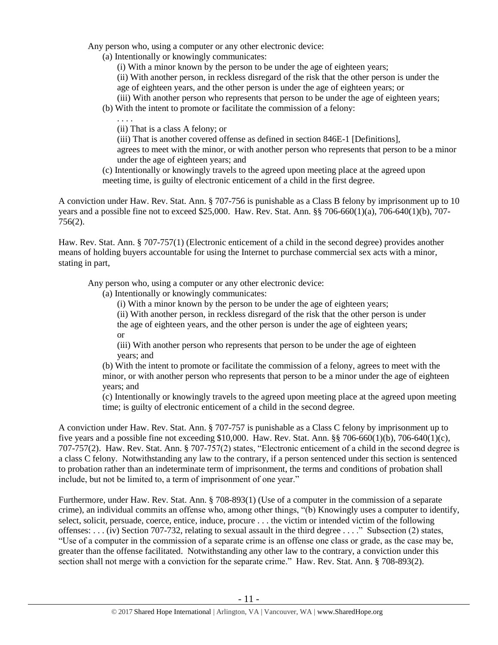Any person who, using a computer or any other electronic device:

(a) Intentionally or knowingly communicates:

(i) With a minor known by the person to be under the age of eighteen years;

(ii) With another person, in reckless disregard of the risk that the other person is under the age of eighteen years, and the other person is under the age of eighteen years; or

(iii) With another person who represents that person to be under the age of eighteen years;

(b) With the intent to promote or facilitate the commission of a felony:

. . . .

(ii) That is a class A felony; or

(iii) That is another covered offense as defined in section 846E-1 [Definitions], agrees to meet with the minor, or with another person who represents that person to be a minor under the age of eighteen years; and

(c) Intentionally or knowingly travels to the agreed upon meeting place at the agreed upon meeting time, is guilty of electronic enticement of a child in the first degree.

A conviction under Haw. Rev. Stat. Ann. § 707-756 is punishable as a Class B felony by imprisonment up to 10 years and a possible fine not to exceed \$25,000. Haw. Rev. Stat. Ann. §§ 706-660(1)(a), 706-640(1)(b), 707- 756(2).

Haw. Rev. Stat. Ann. § 707-757(1) (Electronic enticement of a child in the second degree) provides another means of holding buyers accountable for using the Internet to purchase commercial sex acts with a minor, stating in part,

Any person who, using a computer or any other electronic device:

- (a) Intentionally or knowingly communicates:
	- (i) With a minor known by the person to be under the age of eighteen years;

(ii) With another person, in reckless disregard of the risk that the other person is under the age of eighteen years, and the other person is under the age of eighteen years; or

(iii) With another person who represents that person to be under the age of eighteen years; and

(b) With the intent to promote or facilitate the commission of a felony, agrees to meet with the minor, or with another person who represents that person to be a minor under the age of eighteen years; and

(c) Intentionally or knowingly travels to the agreed upon meeting place at the agreed upon meeting time; is guilty of electronic enticement of a child in the second degree.

A conviction under Haw. Rev. Stat. Ann. § 707-757 is punishable as a Class C felony by imprisonment up to five years and a possible fine not exceeding \$10,000. Haw. Rev. Stat. Ann. §§ 706-660(1)(b), 706-640(1)(c), 707-757(2). Haw. Rev. Stat. Ann. § 707-757(2) states, "Electronic enticement of a child in the second degree is a class C felony. Notwithstanding any law to the contrary, if a person sentenced under this section is sentenced to probation rather than an indeterminate term of imprisonment, the terms and conditions of probation shall include, but not be limited to, a term of imprisonment of one year."

Furthermore, under Haw. Rev. Stat. Ann. § 708-893(1) (Use of a computer in the commission of a separate crime), an individual commits an offense who, among other things, "(b) Knowingly uses a computer to identify, select, solicit, persuade, coerce, entice, induce, procure . . . the victim or intended victim of the following offenses: . . . (iv) Section 707-732, relating to sexual assault in the third degree . . . ." Subsection (2) states, "Use of a computer in the commission of a separate crime is an offense one class or grade, as the case may be, greater than the offense facilitated. Notwithstanding any other law to the contrary, a conviction under this section shall not merge with a conviction for the separate crime." Haw. Rev. Stat. Ann. § 708-893(2).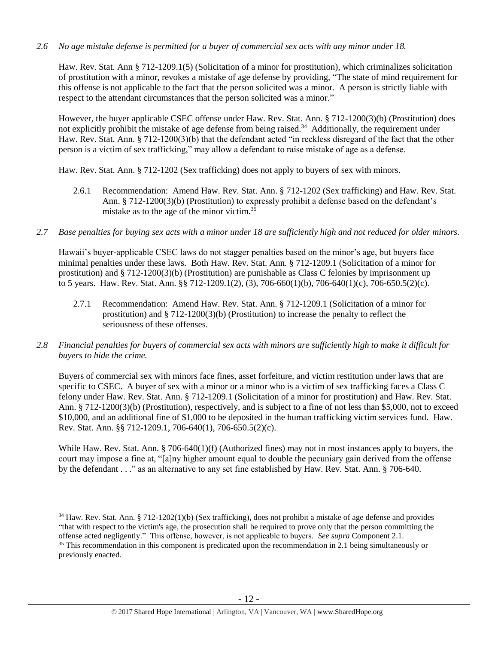#### *2.6 No age mistake defense is permitted for a buyer of commercial sex acts with any minor under 18.*

Haw. Rev. Stat. Ann § 712-1209.1(5) (Solicitation of a minor for prostitution), which criminalizes solicitation of prostitution with a minor, revokes a mistake of age defense by providing, "The state of mind requirement for this offense is not applicable to the fact that the person solicited was a minor. A person is strictly liable with respect to the attendant circumstances that the person solicited was a minor."

However, the buyer applicable CSEC offense under Haw. Rev. Stat. Ann. § 712-1200(3)(b) (Prostitution) does not explicitly prohibit the mistake of age defense from being raised.<sup>34</sup> Additionally, the requirement under Haw. Rev. Stat. Ann. § 712-1200(3)(b) that the defendant acted "in reckless disregard of the fact that the other person is a victim of sex trafficking," may allow a defendant to raise mistake of age as a defense.

Haw. Rev. Stat. Ann. § 712-1202 (Sex trafficking) does not apply to buyers of sex with minors.

- 2.6.1 Recommendation: Amend Haw. Rev. Stat. Ann. § 712-1202 (Sex trafficking) and Haw. Rev. Stat. Ann. § 712-1200(3)(b) (Prostitution) to expressly prohibit a defense based on the defendant's mistake as to the age of the minor victim.<sup>35</sup>
- *2.7 Base penalties for buying sex acts with a minor under 18 are sufficiently high and not reduced for older minors.*

Hawaii's buyer-applicable CSEC laws do not stagger penalties based on the minor's age, but buyers face minimal penalties under these laws. Both Haw. Rev. Stat. Ann. § 712-1209.1 (Solicitation of a minor for prostitution) and § 712-1200(3)(b) (Prostitution) are punishable as Class C felonies by imprisonment up to 5 years. Haw. Rev. Stat. Ann. §§ 712-1209.1(2), (3), 706-660(1)(b), 706-640(1)(c), 706-650.5(2)(c).

- 2.7.1 Recommendation: Amend Haw. Rev. Stat. Ann. § 712-1209.1 (Solicitation of a minor for prostitution) and § 712-1200(3)(b) (Prostitution) to increase the penalty to reflect the seriousness of these offenses.
- *2.8 Financial penalties for buyers of commercial sex acts with minors are sufficiently high to make it difficult for buyers to hide the crime.*

Buyers of commercial sex with minors face fines, asset forfeiture, and victim restitution under laws that are specific to CSEC. A buyer of sex with a minor or a minor who is a victim of sex trafficking faces a Class C felony under Haw. Rev. Stat. Ann. § 712-1209.1 (Solicitation of a minor for prostitution) and Haw. Rev. Stat. Ann. § 712-1200(3)(b) (Prostitution), respectively, and is subject to a fine of not less than \$5,000, not to exceed \$10,000, and an additional fine of \$1,000 to be deposited in the human trafficking victim services fund. Haw. Rev. Stat. Ann. §§ 712-1209.1, 706-640(1), 706-650.5(2)(c).

While Haw. Rev. Stat. Ann. § 706-640(1)(f) (Authorized fines) may not in most instances apply to buyers, the court may impose a fine at, "[a]ny higher amount equal to double the pecuniary gain derived from the offense by the defendant . . ." as an alternative to any set fine established by Haw. Rev. Stat. Ann. § 706-640.

 $\overline{a}$ 

<sup>34</sup> Haw. Rev. Stat. Ann. § 712-1202(1)(b) (Sex trafficking), does not prohibit a mistake of age defense and provides "that with respect to the victim's age, the prosecution shall be required to prove only that the person committing the offense acted negligently." This offense, however, is not applicable to buyers. *See supra* Component 2.1. <sup>35</sup> This recommendation in this component is predicated upon the recommendation in 2.1 being simultaneously or previously enacted.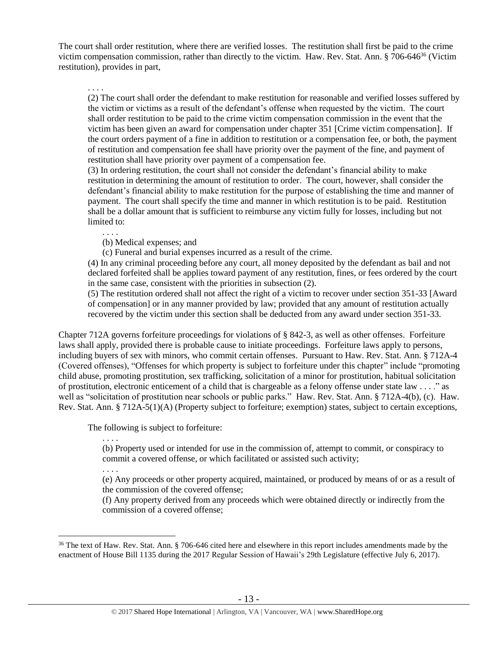The court shall order restitution, where there are verified losses. The restitution shall first be paid to the crime victim compensation commission, rather than directly to the victim. Haw. Rev. Stat. Ann. § 706-646<sup>36</sup> (Victim restitution), provides in part,

<span id="page-12-0"></span>. . . .

(2) The court shall order the defendant to make restitution for reasonable and verified losses suffered by the victim or victims as a result of the defendant's offense when requested by the victim. The court shall order restitution to be paid to the crime victim compensation commission in the event that the victim has been given an award for compensation under chapter 351 [Crime victim compensation]. If the court orders payment of a fine in addition to restitution or a compensation fee, or both, the payment of restitution and compensation fee shall have priority over the payment of the fine, and payment of restitution shall have priority over payment of a compensation fee.

(3) In ordering restitution, the court shall not consider the defendant's financial ability to make restitution in determining the amount of restitution to order. The court, however, shall consider the defendant's financial ability to make restitution for the purpose of establishing the time and manner of payment. The court shall specify the time and manner in which restitution is to be paid. Restitution shall be a dollar amount that is sufficient to reimburse any victim fully for losses, including but not limited to:

. . . .

(b) Medical expenses; and

(c) Funeral and burial expenses incurred as a result of the crime.

(4) In any criminal proceeding before any court, all money deposited by the defendant as bail and not declared forfeited shall be applies toward payment of any restitution, fines, or fees ordered by the court in the same case, consistent with the priorities in subsection (2).

(5) The restitution ordered shall not affect the right of a victim to recover under section 351-33 [Award of compensation] or in any manner provided by law; provided that any amount of restitution actually recovered by the victim under this section shall be deducted from any award under section 351-33.

Chapter 712A governs forfeiture proceedings for violations of § 842-3, as well as other offenses. Forfeiture laws shall apply, provided there is probable cause to initiate proceedings. Forfeiture laws apply to persons, including buyers of sex with minors, who commit certain offenses. Pursuant to Haw. Rev. Stat. Ann. § 712A-4 (Covered offenses), "Offenses for which property is subject to forfeiture under this chapter" include "promoting child abuse, promoting prostitution, sex trafficking, solicitation of a minor for prostitution, habitual solicitation of prostitution, electronic enticement of a child that is chargeable as a felony offense under state law . . . ." as well as "solicitation of prostitution near schools or public parks." Haw. Rev. Stat. Ann. § 712A-4(b), (c). Haw. Rev. Stat. Ann. § 712A-5(1)(A) (Property subject to forfeiture; exemption) states, subject to certain exceptions,

The following is subject to forfeiture:

. . . .

(b) Property used or intended for use in the commission of, attempt to commit, or conspiracy to commit a covered offense, or which facilitated or assisted such activity;

. . . .

 $\overline{a}$ 

(e) Any proceeds or other property acquired, maintained, or produced by means of or as a result of the commission of the covered offense;

(f) Any property derived from any proceeds which were obtained directly or indirectly from the commission of a covered offense;

<sup>&</sup>lt;sup>36</sup> The text of Haw. Rev. Stat. Ann. § 706-646 cited here and elsewhere in this report includes amendments made by the enactment of House Bill 1135 during the 2017 Regular Session of Hawaii's 29th Legislature (effective July 6, 2017).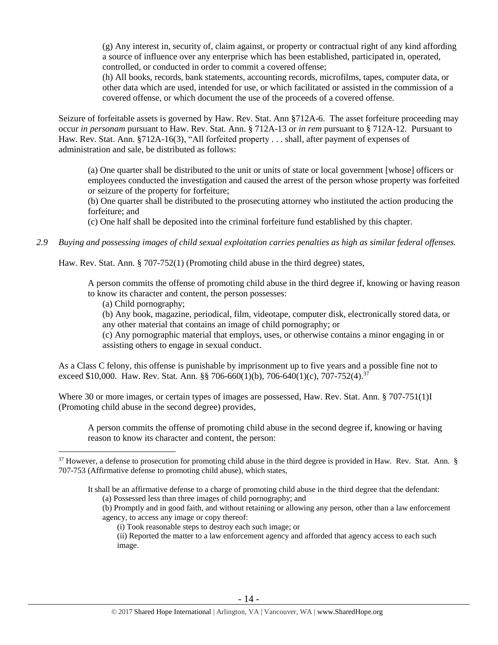(g) Any interest in, security of, claim against, or property or contractual right of any kind affording a source of influence over any enterprise which has been established, participated in, operated, controlled, or conducted in order to commit a covered offense;

(h) All books, records, bank statements, accounting records, microfilms, tapes, computer data, or other data which are used, intended for use, or which facilitated or assisted in the commission of a covered offense, or which document the use of the proceeds of a covered offense.

Seizure of forfeitable assets is governed by Haw. Rev. Stat. Ann §712A-6. The asset forfeiture proceeding may occur *in personam* pursuant to Haw. Rev. Stat. Ann. § 712A-13 or *in rem* pursuant to § 712A-12. Pursuant to Haw. Rev. Stat. Ann. §712A-16(3), "All forfeited property . . . shall, after payment of expenses of administration and sale, be distributed as follows:

(a) One quarter shall be distributed to the unit or units of state or local government [whose] officers or employees conducted the investigation and caused the arrest of the person whose property was forfeited or seizure of the property for forfeiture;

(b) One quarter shall be distributed to the prosecuting attorney who instituted the action producing the forfeiture; and

(c) One half shall be deposited into the criminal forfeiture fund established by this chapter.

*2.9 Buying and possessing images of child sexual exploitation carries penalties as high as similar federal offenses.*

Haw. Rev. Stat. Ann. § 707-752(1) (Promoting child abuse in the third degree) states,

A person commits the offense of promoting child abuse in the third degree if, knowing or having reason to know its character and content, the person possesses:

(a) Child pornography;

 $\overline{a}$ 

(b) Any book, magazine, periodical, film, videotape, computer disk, electronically stored data, or any other material that contains an image of child pornography; or

(c) Any pornographic material that employs, uses, or otherwise contains a minor engaging in or assisting others to engage in sexual conduct.

As a Class C felony, this offense is punishable by imprisonment up to five years and a possible fine not to exceed \$10,000. Haw. Rev. Stat. Ann. §§ 706-660(1)(b), 706-640(1)(c), 707-752(4).<sup>37</sup>

Where 30 or more images, or certain types of images are possessed, Haw. Rev. Stat. Ann. § 707-751(1)I (Promoting child abuse in the second degree) provides,

A person commits the offense of promoting child abuse in the second degree if, knowing or having reason to know its character and content, the person:

<sup>&</sup>lt;sup>37</sup> However, a defense to prosecution for promoting child abuse in the third degree is provided in Haw. Rev. Stat. Ann. § 707-753 (Affirmative defense to promoting child abuse), which states,

It shall be an affirmative defense to a charge of promoting child abuse in the third degree that the defendant:

<sup>(</sup>a) Possessed less than three images of child pornography; and

<sup>(</sup>b) Promptly and in good faith, and without retaining or allowing any person, other than a law enforcement agency, to access any image or copy thereof:

<sup>(</sup>i) Took reasonable steps to destroy each such image; or

<sup>(</sup>ii) Reported the matter to a law enforcement agency and afforded that agency access to each such image.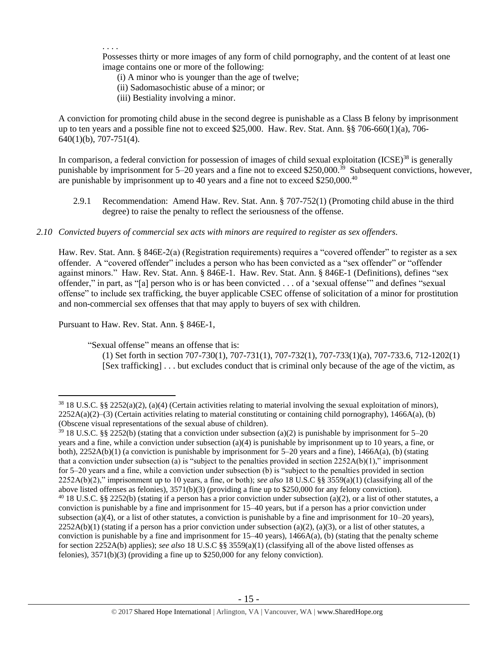. . . .

Possesses thirty or more images of any form of child pornography, and the content of at least one image contains one or more of the following:

- (i) A minor who is younger than the age of twelve;
- (ii) Sadomasochistic abuse of a minor; or
- (iii) Bestiality involving a minor.

A conviction for promoting child abuse in the second degree is punishable as a Class B felony by imprisonment up to ten years and a possible fine not to exceed \$25,000. Haw. Rev. Stat. Ann. §§ 706-660(1)(a), 706- 640(1)(b), 707-751(4).

In comparison, a federal conviction for possession of images of child sexual exploitation  $(ICSE)^{38}$  is generally punishable by imprisonment for 5–20 years and a fine not to exceed \$250,000.<sup>39</sup> Subsequent convictions, however, are punishable by imprisonment up to 40 years and a fine not to exceed \$250,000.<sup>40</sup>

2.9.1 Recommendation: Amend Haw. Rev. Stat. Ann. § 707-752(1) (Promoting child abuse in the third degree) to raise the penalty to reflect the seriousness of the offense.

#### *2.10 Convicted buyers of commercial sex acts with minors are required to register as sex offenders.*

Haw. Rev. Stat. Ann. § 846E-2(a) (Registration requirements) requires a "covered offender" to register as a sex offender. A "covered offender" includes a person who has been convicted as a "sex offender" or "offender against minors." Haw. Rev. Stat. Ann. § 846E-1. Haw. Rev. Stat. Ann. § 846E-1 (Definitions), defines "sex offender," in part, as "[a] person who is or has been convicted . . . of a 'sexual offense'" and defines "sexual offense" to include sex trafficking, the buyer applicable CSEC offense of solicitation of a minor for prostitution and non-commercial sex offenses that that may apply to buyers of sex with children.

Pursuant to Haw. Rev. Stat. Ann. § 846E-1,

 $\overline{a}$ 

"Sexual offense" means an offense that is:

(1) Set forth in section 707-730(1), 707-731(1), 707-732(1), 707-733(1)(a), 707-733.6, 712-1202(1) [Sex trafficking] . . . but excludes conduct that is criminal only because of the age of the victim, as

<sup>38</sup> 18 U.S.C. §§ 2252(a)(2), (a)(4) (Certain activities relating to material involving the sexual exploitation of minors),  $2252A(a)(2)$ –(3) (Certain activities relating to material constituting or containing child pornography), 1466A(a), (b) (Obscene visual representations of the sexual abuse of children).

<sup>&</sup>lt;sup>39</sup> 18 U.S.C. §§ 2252(b) (stating that a conviction under subsection (a)(2) is punishable by imprisonment for 5–20 years and a fine, while a conviction under subsection (a)(4) is punishable by imprisonment up to 10 years, a fine, or both),  $2252A(b)(1)$  (a conviction is punishable by imprisonment for 5–20 years and a fine),  $1466A(a)$ , (b) (stating that a conviction under subsection (a) is "subject to the penalties provided in section  $2252A(b)(1)$ ," imprisonment for 5–20 years and a fine, while a conviction under subsection (b) is "subject to the penalties provided in section 2252A(b)(2)," imprisonment up to 10 years, a fine, or both); *see also* 18 U.S.C §§ 3559(a)(1) (classifying all of the above listed offenses as felonies), 3571(b)(3) (providing a fine up to \$250,000 for any felony conviction).  $40\,18$  U.S.C. §§ 2252(b) (stating if a person has a prior conviction under subsection (a)(2), or a list of other statutes, a conviction is punishable by a fine and imprisonment for 15–40 years, but if a person has a prior conviction under subsection (a)(4), or a list of other statutes, a conviction is punishable by a fine and imprisonment for  $10-20$  years),  $2252A(b)(1)$  (stating if a person has a prior conviction under subsection (a)(2), (a)(3), or a list of other statutes, a conviction is punishable by a fine and imprisonment for 15–40 years), 1466A(a), (b) (stating that the penalty scheme for section 2252A(b) applies); *see also* 18 U.S.C §§ 3559(a)(1) (classifying all of the above listed offenses as felonies), 3571(b)(3) (providing a fine up to \$250,000 for any felony conviction).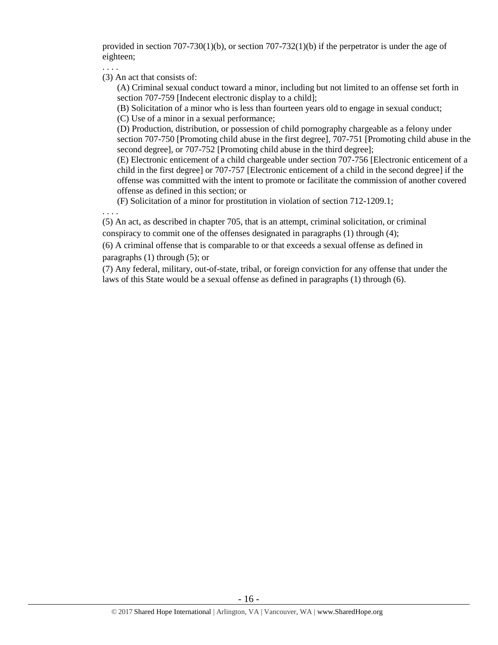provided in section  $707-730(1)(b)$ , or section  $707-732(1)(b)$  if the perpetrator is under the age of eighteen;

. . . .

. . . .

(3) An act that consists of:

(A) Criminal sexual conduct toward a minor, including but not limited to an offense set forth in section 707-759 [Indecent electronic display to a child];

(B) Solicitation of a minor who is less than fourteen years old to engage in sexual conduct;

(C) Use of a minor in a sexual performance;

(D) Production, distribution, or possession of child pornography chargeable as a felony under section 707-750 [Promoting child abuse in the first degree], 707-751 [Promoting child abuse in the second degree], or 707-752 [Promoting child abuse in the third degree];

(E) Electronic enticement of a child chargeable under section 707-756 [Electronic enticement of a child in the first degree] or 707-757 [Electronic enticement of a child in the second degree] if the offense was committed with the intent to promote or facilitate the commission of another covered offense as defined in this section; or

(F) Solicitation of a minor for prostitution in violation of section 712-1209.1;

(5) An act, as described in chapter 705, that is an attempt, criminal solicitation, or criminal conspiracy to commit one of the offenses designated in paragraphs (1) through (4);

(6) A criminal offense that is comparable to or that exceeds a sexual offense as defined in paragraphs (1) through (5); or

(7) Any federal, military, out-of-state, tribal, or foreign conviction for any offense that under the laws of this State would be a sexual offense as defined in paragraphs (1) through (6).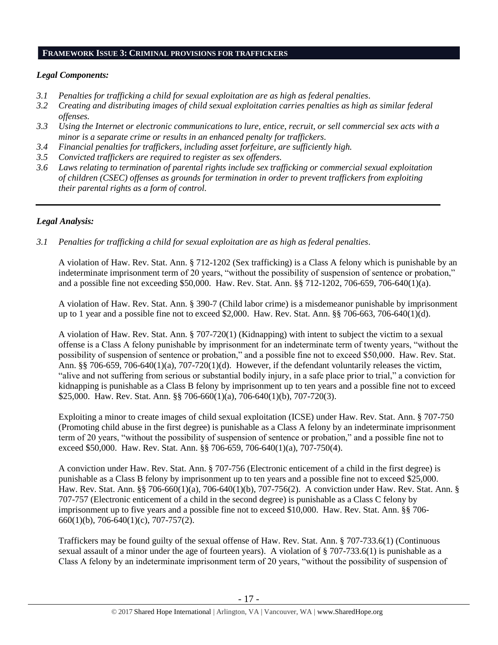### **FRAMEWORK ISSUE 3: CRIMINAL PROVISIONS FOR TRAFFICKERS**

#### *Legal Components:*

- *3.1 Penalties for trafficking a child for sexual exploitation are as high as federal penalties.*
- *3.2 Creating and distributing images of child sexual exploitation carries penalties as high as similar federal offenses.*
- *3.3 Using the Internet or electronic communications to lure, entice, recruit, or sell commercial sex acts with a minor is a separate crime or results in an enhanced penalty for traffickers.*
- *3.4 Financial penalties for traffickers, including asset forfeiture, are sufficiently high.*
- *3.5 Convicted traffickers are required to register as sex offenders.*
- *3.6 Laws relating to termination of parental rights include sex trafficking or commercial sexual exploitation of children (CSEC) offenses as grounds for termination in order to prevent traffickers from exploiting their parental rights as a form of control.*

# *Legal Analysis:*

*3.1 Penalties for trafficking a child for sexual exploitation are as high as federal penalties.* 

A violation of Haw. Rev. Stat. Ann. § 712-1202 (Sex trafficking) is a Class A felony which is punishable by an indeterminate imprisonment term of 20 years, "without the possibility of suspension of sentence or probation," and a possible fine not exceeding \$50,000. Haw. Rev. Stat. Ann. §§ 712-1202, 706-659, 706-640(1)(a).

A violation of Haw. Rev. Stat. Ann. § 390-7 (Child labor crime) is a misdemeanor punishable by imprisonment up to 1 year and a possible fine not to exceed \$2,000. Haw. Rev. Stat. Ann. §§ 706-663, 706-640(1)(d).

A violation of Haw. Rev. Stat. Ann. § 707-720(1) (Kidnapping) with intent to subject the victim to a sexual offense is a Class A felony punishable by imprisonment for an indeterminate term of twenty years, "without the possibility of suspension of sentence or probation," and a possible fine not to exceed \$50,000. Haw. Rev. Stat. Ann. §§ 706-659, 706-640(1)(a), 707-720(1)(d). However, if the defendant voluntarily releases the victim, "alive and not suffering from serious or substantial bodily injury, in a safe place prior to trial," a conviction for kidnapping is punishable as a Class B felony by imprisonment up to ten years and a possible fine not to exceed \$25,000. Haw. Rev. Stat. Ann. §§ 706-660(1)(a), 706-640(1)(b), 707-720(3).

Exploiting a minor to create images of child sexual exploitation (ICSE) under Haw. Rev. Stat. Ann. § 707-750 (Promoting child abuse in the first degree) is punishable as a Class A felony by an indeterminate imprisonment term of 20 years, "without the possibility of suspension of sentence or probation," and a possible fine not to exceed \$50,000. Haw. Rev. Stat. Ann. §§ 706-659, 706-640(1)(a), 707-750(4).

A conviction under Haw. Rev. Stat. Ann. § 707-756 (Electronic enticement of a child in the first degree) is punishable as a Class B felony by imprisonment up to ten years and a possible fine not to exceed \$25,000. Haw. Rev. Stat. Ann. §§ 706-660(1)(a), 706-640(1)(b), 707-756(2). A conviction under Haw. Rev. Stat. Ann. § 707-757 (Electronic enticement of a child in the second degree) is punishable as a Class C felony by imprisonment up to five years and a possible fine not to exceed \$10,000. Haw. Rev. Stat. Ann. §§ 706-  $660(1)(b)$ , 706-640(1)(c), 707-757(2).

Traffickers may be found guilty of the sexual offense of Haw. Rev. Stat. Ann. § 707-733.6(1) (Continuous sexual assault of a minor under the age of fourteen years). A violation of § 707-733.6(1) is punishable as a Class A felony by an indeterminate imprisonment term of 20 years, "without the possibility of suspension of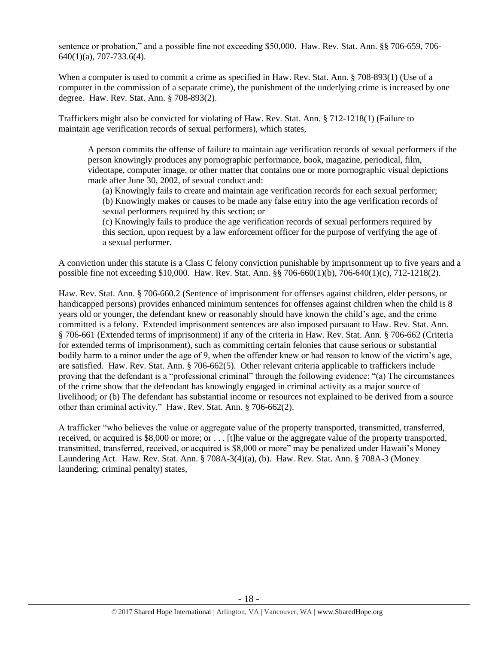sentence or probation," and a possible fine not exceeding \$50,000. Haw. Rev. Stat. Ann. §§ 706-659, 706- 640(1)(a), 707-733.6(4).

When a computer is used to commit a crime as specified in Haw. Rev. Stat. Ann. § 708-893(1) (Use of a computer in the commission of a separate crime), the punishment of the underlying crime is increased by one degree. Haw. Rev. Stat. Ann. § 708-893(2).

Traffickers might also be convicted for violating of Haw. Rev. Stat. Ann. § 712-1218(1) (Failure to maintain age verification records of sexual performers), which states,

A person commits the offense of failure to maintain age verification records of sexual performers if the person knowingly produces any pornographic performance, book, magazine, periodical, film, videotape, computer image, or other matter that contains one or more pornographic visual depictions made after June 30, 2002, of sexual conduct and:

(a) Knowingly fails to create and maintain age verification records for each sexual performer; (b) Knowingly makes or causes to be made any false entry into the age verification records of sexual performers required by this section; or

(c) Knowingly fails to produce the age verification records of sexual performers required by this section, upon request by a law enforcement officer for the purpose of verifying the age of a sexual performer.

A conviction under this statute is a Class C felony conviction punishable by imprisonment up to five years and a possible fine not exceeding \$10,000. Haw. Rev. Stat. Ann. §§ 706-660(1)(b), 706-640(1)(c), 712-1218(2).

Haw. Rev. Stat. Ann. § 706-660.2 (Sentence of imprisonment for offenses against children, elder persons, or handicapped persons) provides enhanced minimum sentences for offenses against children when the child is 8 years old or younger, the defendant knew or reasonably should have known the child's age, and the crime committed is a felony. Extended imprisonment sentences are also imposed pursuant to Haw. Rev. Stat. Ann. § 706-661 (Extended terms of imprisonment) if any of the criteria in Haw. Rev. Stat. Ann. § 706-662 (Criteria for extended terms of imprisonment), such as committing certain felonies that cause serious or substantial bodily harm to a minor under the age of 9, when the offender knew or had reason to know of the victim's age, are satisfied. Haw. Rev. Stat. Ann. § 706-662(5). Other relevant criteria applicable to traffickers include proving that the defendant is a "professional criminal" through the following evidence: "(a) The circumstances of the crime show that the defendant has knowingly engaged in criminal activity as a major source of livelihood; or (b) The defendant has substantial income or resources not explained to be derived from a source other than criminal activity." Haw. Rev. Stat. Ann. § 706-662(2).

A trafficker "who believes the value or aggregate value of the property transported, transmitted, transferred, received, or acquired is \$8,000 or more; or . . . [t]he value or the aggregate value of the property transported, transmitted, transferred, received, or acquired is \$8,000 or more" may be penalized under Hawaii's Money Laundering Act. Haw. Rev. Stat. Ann. § 708A-3(4)(a), (b). Haw. Rev. Stat. Ann. § 708A-3 (Money laundering; criminal penalty) states,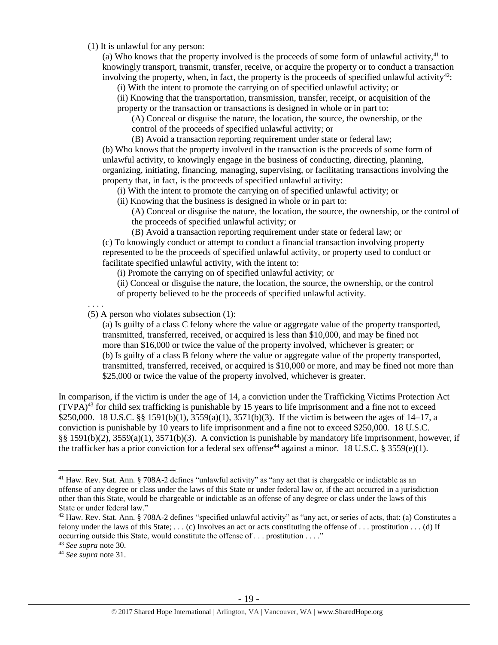(1) It is unlawful for any person:

(a) Who knows that the property involved is the proceeds of some form of unlawful activity, $41$  to knowingly transport, transmit, transfer, receive, or acquire the property or to conduct a transaction involving the property, when, in fact, the property is the proceeds of specified unlawful activity<sup>42</sup>:

(i) With the intent to promote the carrying on of specified unlawful activity; or

(ii) Knowing that the transportation, transmission, transfer, receipt, or acquisition of the property or the transaction or transactions is designed in whole or in part to:

(A) Conceal or disguise the nature, the location, the source, the ownership, or the control of the proceeds of specified unlawful activity; or

(B) Avoid a transaction reporting requirement under state or federal law; (b) Who knows that the property involved in the transaction is the proceeds of some form of unlawful activity, to knowingly engage in the business of conducting, directing, planning, organizing, initiating, financing, managing, supervising, or facilitating transactions involving the property that, in fact, is the proceeds of specified unlawful activity:

(i) With the intent to promote the carrying on of specified unlawful activity; or

(ii) Knowing that the business is designed in whole or in part to:

(A) Conceal or disguise the nature, the location, the source, the ownership, or the control of the proceeds of specified unlawful activity; or

(B) Avoid a transaction reporting requirement under state or federal law; or (c) To knowingly conduct or attempt to conduct a financial transaction involving property represented to be the proceeds of specified unlawful activity, or property used to conduct or facilitate specified unlawful activity, with the intent to:

(i) Promote the carrying on of specified unlawful activity; or

(ii) Conceal or disguise the nature, the location, the source, the ownership, or the control of property believed to be the proceeds of specified unlawful activity.

. . . .

(5) A person who violates subsection (1):

(a) Is guilty of a class C felony where the value or aggregate value of the property transported, transmitted, transferred, received, or acquired is less than \$10,000, and may be fined not more than \$16,000 or twice the value of the property involved, whichever is greater; or (b) Is guilty of a class B felony where the value or aggregate value of the property transported, transmitted, transferred, received, or acquired is \$10,000 or more, and may be fined not more than \$25,000 or twice the value of the property involved, whichever is greater.

In comparison, if the victim is under the age of 14, a conviction under the Trafficking Victims Protection Act  $(TVPA)<sup>43</sup>$  for child sex trafficking is punishable by 15 years to life imprisonment and a fine not to exceed \$250,000. 18 U.S.C. §§ 1591(b)(1), 3559(a)(1), 3571(b)(3). If the victim is between the ages of 14–17, a conviction is punishable by 10 years to life imprisonment and a fine not to exceed \$250,000. 18 U.S.C. §§ 1591(b)(2), 3559(a)(1), 3571(b)(3). A conviction is punishable by mandatory life imprisonment, however, if the trafficker has a prior conviction for a federal sex offense<sup>44</sup> against a minor. 18 U.S.C. § 3559(e)(1).

 $\overline{a}$ 

<sup>&</sup>lt;sup>41</sup> Haw. Rev. Stat. Ann. § 708A-2 defines "unlawful activity" as "any act that is chargeable or indictable as an offense of any degree or class under the laws of this State or under federal law or, if the act occurred in a jurisdiction other than this State, would be chargeable or indictable as an offense of any degree or class under the laws of this State or under federal law."

 $42$  Haw. Rev. Stat. Ann. § 708A-2 defines "specified unlawful activity" as "any act, or series of acts, that: (a) Constitutes a felony under the laws of this State; . . . (c) Involves an act or acts constituting the offense of . . . prostitution . . . (d) If occurring outside this State, would constitute the offense of . . . prostitution . . . ."

<sup>43</sup> *See supra* note [30.](#page-9-0) 

<sup>44</sup> *See supra* note [31.](#page-9-1)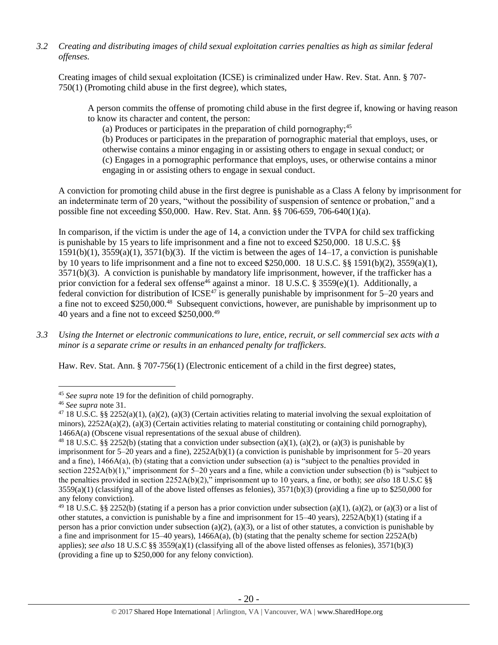*3.2 Creating and distributing images of child sexual exploitation carries penalties as high as similar federal offenses.*

Creating images of child sexual exploitation (ICSE) is criminalized under Haw. Rev. Stat. Ann. § 707- 750(1) (Promoting child abuse in the first degree), which states,

A person commits the offense of promoting child abuse in the first degree if, knowing or having reason to know its character and content, the person:

(a) Produces or participates in the preparation of child pornography;  $45$ 

(b) Produces or participates in the preparation of pornographic material that employs, uses, or otherwise contains a minor engaging in or assisting others to engage in sexual conduct; or (c) Engages in a pornographic performance that employs, uses, or otherwise contains a minor engaging in or assisting others to engage in sexual conduct.

A conviction for promoting child abuse in the first degree is punishable as a Class A felony by imprisonment for an indeterminate term of 20 years, "without the possibility of suspension of sentence or probation," and a possible fine not exceeding \$50,000. Haw. Rev. Stat. Ann. §§ 706-659, 706-640(1)(a).

In comparison, if the victim is under the age of 14, a conviction under the TVPA for child sex trafficking is punishable by 15 years to life imprisonment and a fine not to exceed \$250,000. 18 U.S.C. §§  $1591(b)(1)$ ,  $3559(a)(1)$ ,  $3571(b)(3)$ . If the victim is between the ages of  $14-17$ , a conviction is punishable by 10 years to life imprisonment and a fine not to exceed \$250,000. 18 U.S.C. §§ 1591(b)(2), 3559(a)(1), 3571(b)(3). A conviction is punishable by mandatory life imprisonment, however, if the trafficker has a prior conviction for a federal sex offense<sup>46</sup> against a minor. 18 U.S.C. § 3559(e)(1). Additionally, a federal conviction for distribution of ICSE<sup>47</sup> is generally punishable by imprisonment for  $5-20$  years and a fine not to exceed \$250,000.<sup>48</sup> Subsequent convictions, however, are punishable by imprisonment up to 40 years and a fine not to exceed \$250,000.<sup>49</sup>

*3.3 Using the Internet or electronic communications to lure, entice, recruit, or sell commercial sex acts with a minor is a separate crime or results in an enhanced penalty for traffickers.* 

Haw. Rev. Stat. Ann. § 707-756(1) (Electronic enticement of a child in the first degree) states,

 $\overline{a}$ 

<sup>45</sup> *See supra* note [19](#page-3-0) for the definition of child pornography.

<sup>46</sup> *See supra* note [31.](#page-9-1)

<sup>&</sup>lt;sup>47</sup> 18 U.S.C. §§ 2252(a)(1), (a)(2), (a)(3) (Certain activities relating to material involving the sexual exploitation of minors),  $2252A(a)(2)$ ,  $(a)(3)$  (Certain activities relating to material constituting or containing child pornography), 1466A(a) (Obscene visual representations of the sexual abuse of children).

<sup>&</sup>lt;sup>48</sup> 18 U.S.C. §§ 2252(b) (stating that a conviction under subsection (a)(1), (a)(2), or (a)(3) is punishable by imprisonment for  $5-20$  years and a fine),  $2252A(b)(1)$  (a conviction is punishable by imprisonment for  $5-20$  years and a fine), 1466A(a), (b) (stating that a conviction under subsection (a) is "subject to the penalties provided in section 2252A(b)(1)," imprisonment for 5–20 years and a fine, while a conviction under subsection (b) is "subject to the penalties provided in section 2252A(b)(2)," imprisonment up to 10 years, a fine, or both); *see also* 18 U.S.C §§  $3559(a)(1)$  (classifying all of the above listed offenses as felonies),  $3571(b)(3)$  (providing a fine up to \$250,000 for any felony conviction).

<sup>&</sup>lt;sup>49</sup> 18 U.S.C. §§ 2252(b) (stating if a person has a prior conviction under subsection (a)(1), (a)(2), or (a)(3) or a list of other statutes, a conviction is punishable by a fine and imprisonment for  $15-40$  years),  $2252A(b)(1)$  (stating if a person has a prior conviction under subsection (a)(2), (a)(3), or a list of other statutes, a conviction is punishable by a fine and imprisonment for  $15-40$  years),  $1466A(a)$ , (b) (stating that the penalty scheme for section  $2252A(b)$ applies); *see also* 18 U.S.C §§ 3559(a)(1) (classifying all of the above listed offenses as felonies), 3571(b)(3) (providing a fine up to \$250,000 for any felony conviction).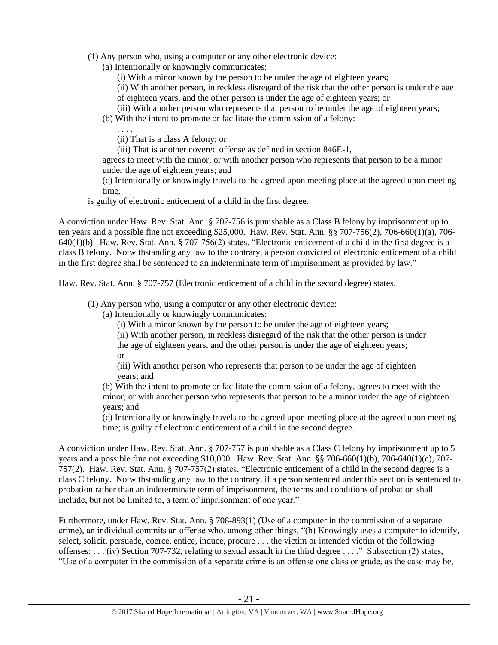- (1) Any person who, using a computer or any other electronic device:
	- (a) Intentionally or knowingly communicates:
		- (i) With a minor known by the person to be under the age of eighteen years;
		- (ii) With another person, in reckless disregard of the risk that the other person is under the age of eighteen years, and the other person is under the age of eighteen years; or
		- (iii) With another person who represents that person to be under the age of eighteen years;
	- (b) With the intent to promote or facilitate the commission of a felony:
		- . . . .
		- (ii) That is a class A felony; or
		- (iii) That is another covered offense as defined in section 846E-1,

agrees to meet with the minor, or with another person who represents that person to be a minor under the age of eighteen years; and

(c) Intentionally or knowingly travels to the agreed upon meeting place at the agreed upon meeting time,

is guilty of electronic enticement of a child in the first degree.

A conviction under Haw. Rev. Stat. Ann. § 707-756 is punishable as a Class B felony by imprisonment up to ten years and a possible fine not exceeding \$25,000. Haw. Rev. Stat. Ann. §§ 707-756(2), 706-660(1)(a), 706- 640(1)(b). Haw. Rev. Stat. Ann. § 707-756(2) states, "Electronic enticement of a child in the first degree is a class B felony. Notwithstanding any law to the contrary, a person convicted of electronic enticement of a child in the first degree shall be sentenced to an indeterminate term of imprisonment as provided by law."

Haw. Rev. Stat. Ann. § 707-757 (Electronic enticement of a child in the second degree) states,

- (1) Any person who, using a computer or any other electronic device:
	- (a) Intentionally or knowingly communicates:
		- (i) With a minor known by the person to be under the age of eighteen years;
		- (ii) With another person, in reckless disregard of the risk that the other person is under

the age of eighteen years, and the other person is under the age of eighteen years; or

(iii) With another person who represents that person to be under the age of eighteen years; and

(b) With the intent to promote or facilitate the commission of a felony, agrees to meet with the minor, or with another person who represents that person to be a minor under the age of eighteen years; and

(c) Intentionally or knowingly travels to the agreed upon meeting place at the agreed upon meeting time; is guilty of electronic enticement of a child in the second degree.

A conviction under Haw. Rev. Stat. Ann. § 707-757 is punishable as a Class C felony by imprisonment up to 5 years and a possible fine not exceeding \$10,000. Haw. Rev. Stat. Ann. §§ 706-660(1)(b), 706-640(1)(c), 707- 757(2). Haw. Rev. Stat. Ann. § 707-757(2) states, "Electronic enticement of a child in the second degree is a class C felony. Notwithstanding any law to the contrary, if a person sentenced under this section is sentenced to probation rather than an indeterminate term of imprisonment, the terms and conditions of probation shall include, but not be limited to, a term of imprisonment of one year."

Furthermore, under Haw. Rev. Stat. Ann. § 708-893(1) (Use of a computer in the commission of a separate crime), an individual commits an offense who, among other things, "(b) Knowingly uses a computer to identify, select, solicit, persuade, coerce, entice, induce, procure . . . the victim or intended victim of the following offenses: . . . (iv) Section 707-732, relating to sexual assault in the third degree . . . ." Subsection (2) states, "Use of a computer in the commission of a separate crime is an offense one class or grade, as the case may be,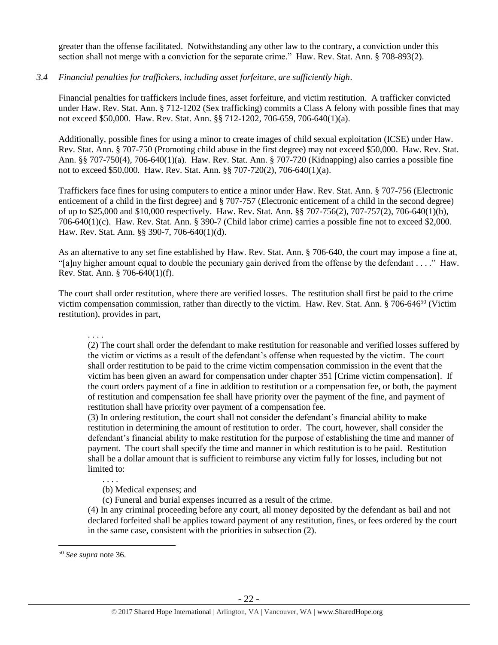greater than the offense facilitated. Notwithstanding any other law to the contrary, a conviction under this section shall not merge with a conviction for the separate crime." Haw. Rev. Stat. Ann. § 708-893(2).

#### *3.4 Financial penalties for traffickers, including asset forfeiture, are sufficiently high*.

Financial penalties for traffickers include fines, asset forfeiture, and victim restitution. A trafficker convicted under Haw. Rev. Stat. Ann. § 712-1202 (Sex trafficking) commits a Class A felony with possible fines that may not exceed \$50,000. Haw. Rev. Stat. Ann. §§ 712-1202, 706-659, 706-640(1)(a).

Additionally, possible fines for using a minor to create images of child sexual exploitation (ICSE) under Haw. Rev. Stat. Ann. § 707-750 (Promoting child abuse in the first degree) may not exceed \$50,000. Haw. Rev. Stat. Ann. §§ 707-750(4), 706-640(1)(a). Haw. Rev. Stat. Ann. § 707-720 (Kidnapping) also carries a possible fine not to exceed \$50,000. Haw. Rev. Stat. Ann. §§ 707-720(2), 706-640(1)(a).

Traffickers face fines for using computers to entice a minor under Haw. Rev. Stat. Ann. § 707-756 (Electronic enticement of a child in the first degree) and § 707-757 (Electronic enticement of a child in the second degree) of up to \$25,000 and \$10,000 respectively. Haw. Rev. Stat. Ann. §§ 707-756(2), 707-757(2), 706-640(1)(b), 706-640(1)(c). Haw. Rev. Stat. Ann. § 390-7 (Child labor crime) carries a possible fine not to exceed \$2,000. Haw. Rev. Stat. Ann. §§ 390-7, 706-640(1)(d).

As an alternative to any set fine established by Haw. Rev. Stat. Ann. § 706-640, the court may impose a fine at, "[a]ny higher amount equal to double the pecuniary gain derived from the offense by the defendant . . . ." Haw. Rev. Stat. Ann. § 706-640(1)(f).

The court shall order restitution, where there are verified losses. The restitution shall first be paid to the crime victim compensation commission, rather than directly to the victim. Haw. Rev. Stat. Ann. § 706-646<sup>50</sup> (Victim restitution), provides in part,

. . . .

(2) The court shall order the defendant to make restitution for reasonable and verified losses suffered by the victim or victims as a result of the defendant's offense when requested by the victim. The court shall order restitution to be paid to the crime victim compensation commission in the event that the victim has been given an award for compensation under chapter 351 [Crime victim compensation]. If the court orders payment of a fine in addition to restitution or a compensation fee, or both, the payment of restitution and compensation fee shall have priority over the payment of the fine, and payment of restitution shall have priority over payment of a compensation fee.

(3) In ordering restitution, the court shall not consider the defendant's financial ability to make restitution in determining the amount of restitution to order. The court, however, shall consider the defendant's financial ability to make restitution for the purpose of establishing the time and manner of payment. The court shall specify the time and manner in which restitution is to be paid. Restitution shall be a dollar amount that is sufficient to reimburse any victim fully for losses, including but not limited to:

(b) Medical expenses; and

(c) Funeral and burial expenses incurred as a result of the crime.

(4) In any criminal proceeding before any court, all money deposited by the defendant as bail and not declared forfeited shall be applies toward payment of any restitution, fines, or fees ordered by the court in the same case, consistent with the priorities in subsection (2).

 $\overline{a}$ 

. . . .

<sup>50</sup> *See supra* note [36.](#page-12-0)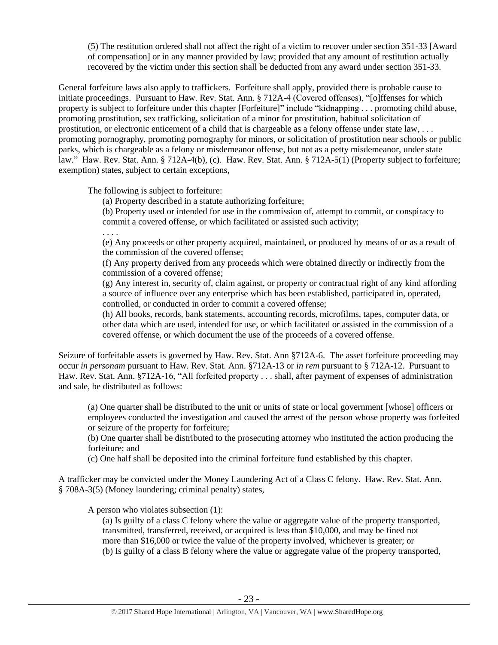(5) The restitution ordered shall not affect the right of a victim to recover under section 351-33 [Award of compensation] or in any manner provided by law; provided that any amount of restitution actually recovered by the victim under this section shall be deducted from any award under section 351-33.

General forfeiture laws also apply to traffickers. Forfeiture shall apply, provided there is probable cause to initiate proceedings. Pursuant to Haw. Rev. Stat. Ann. § 712A-4 (Covered offenses), "[o]ffenses for which property is subject to forfeiture under this chapter [Forfeiture]" include "kidnapping . . . promoting child abuse, promoting prostitution, sex trafficking, solicitation of a minor for prostitution, habitual solicitation of prostitution, or electronic enticement of a child that is chargeable as a felony offense under state law, . . . promoting pornography, promoting pornography for minors, or solicitation of prostitution near schools or public parks, which is chargeable as a felony or misdemeanor offense, but not as a petty misdemeanor, under state law." Haw. Rev. Stat. Ann. § 712A-4(b), (c). Haw. Rev. Stat. Ann. § 712A-5(1) (Property subject to forfeiture; exemption) states, subject to certain exceptions,

The following is subject to forfeiture:

(a) Property described in a statute authorizing forfeiture;

(b) Property used or intended for use in the commission of, attempt to commit, or conspiracy to commit a covered offense, or which facilitated or assisted such activity;

. . . .

(e) Any proceeds or other property acquired, maintained, or produced by means of or as a result of the commission of the covered offense;

(f) Any property derived from any proceeds which were obtained directly or indirectly from the commission of a covered offense;

(g) Any interest in, security of, claim against, or property or contractual right of any kind affording a source of influence over any enterprise which has been established, participated in, operated, controlled, or conducted in order to commit a covered offense;

(h) All books, records, bank statements, accounting records, microfilms, tapes, computer data, or other data which are used, intended for use, or which facilitated or assisted in the commission of a covered offense, or which document the use of the proceeds of a covered offense.

Seizure of forfeitable assets is governed by Haw. Rev. Stat. Ann §712A-6. The asset forfeiture proceeding may occur *in personam* pursuant to Haw. Rev. Stat. Ann. §712A-13 or *in rem* pursuant to § 712A-12. Pursuant to Haw. Rev. Stat. Ann. §712A-16, "All forfeited property . . . shall, after payment of expenses of administration and sale, be distributed as follows:

(a) One quarter shall be distributed to the unit or units of state or local government [whose] officers or employees conducted the investigation and caused the arrest of the person whose property was forfeited or seizure of the property for forfeiture;

(b) One quarter shall be distributed to the prosecuting attorney who instituted the action producing the forfeiture; and

(c) One half shall be deposited into the criminal forfeiture fund established by this chapter.

A trafficker may be convicted under the Money Laundering Act of a Class C felony. Haw. Rev. Stat. Ann. § 708A-3(5) (Money laundering; criminal penalty) states,

A person who violates subsection (1):

(a) Is guilty of a class C felony where the value or aggregate value of the property transported, transmitted, transferred, received, or acquired is less than \$10,000, and may be fined not more than \$16,000 or twice the value of the property involved, whichever is greater; or (b) Is guilty of a class B felony where the value or aggregate value of the property transported,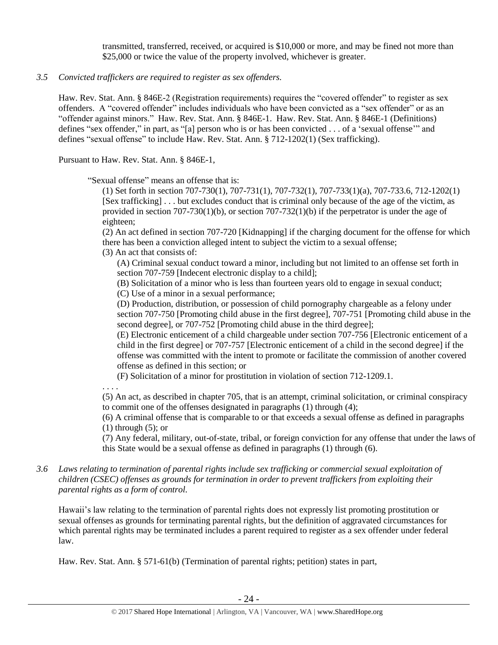transmitted, transferred, received, or acquired is \$10,000 or more, and may be fined not more than \$25,000 or twice the value of the property involved, whichever is greater.

#### *3.5 Convicted traffickers are required to register as sex offenders.*

Haw. Rev. Stat. Ann. § 846E-2 (Registration requirements) requires the "covered offender" to register as sex offenders. A "covered offender" includes individuals who have been convicted as a "sex offender" or as an "offender against minors." Haw. Rev. Stat. Ann. § 846E-1. Haw. Rev. Stat. Ann. § 846E-1 (Definitions) defines "sex offender," in part, as "[a] person who is or has been convicted . . . of a 'sexual offense'" and defines "sexual offense" to include Haw. Rev. Stat. Ann. § 712-1202(1) (Sex trafficking).

Pursuant to Haw. Rev. Stat. Ann. § 846E-1,

"Sexual offense" means an offense that is:

(1) Set forth in section 707-730(1), 707-731(1), 707-732(1), 707-733(1)(a), 707-733.6, 712-1202(1) [Sex trafficking] . . . but excludes conduct that is criminal only because of the age of the victim, as provided in section  $707-730(1)(b)$ , or section  $707-732(1)(b)$  if the perpetrator is under the age of eighteen;

(2) An act defined in section 707-720 [Kidnapping] if the charging document for the offense for which there has been a conviction alleged intent to subject the victim to a sexual offense;

(3) An act that consists of:

(A) Criminal sexual conduct toward a minor, including but not limited to an offense set forth in section 707-759 [Indecent electronic display to a child];

(B) Solicitation of a minor who is less than fourteen years old to engage in sexual conduct;

(C) Use of a minor in a sexual performance;

(D) Production, distribution, or possession of child pornography chargeable as a felony under section 707-750 [Promoting child abuse in the first degree], 707-751 [Promoting child abuse in the second degree], or 707-752 [Promoting child abuse in the third degree];

(E) Electronic enticement of a child chargeable under section 707-756 [Electronic enticement of a child in the first degree] or 707-757 [Electronic enticement of a child in the second degree] if the offense was committed with the intent to promote or facilitate the commission of another covered offense as defined in this section; or

(F) Solicitation of a minor for prostitution in violation of section 712-1209.1.

. . . .

(5) An act, as described in chapter 705, that is an attempt, criminal solicitation, or criminal conspiracy to commit one of the offenses designated in paragraphs (1) through (4);

(6) A criminal offense that is comparable to or that exceeds a sexual offense as defined in paragraphs (1) through (5); or

(7) Any federal, military, out-of-state, tribal, or foreign conviction for any offense that under the laws of this State would be a sexual offense as defined in paragraphs (1) through (6).

*3.6 Laws relating to termination of parental rights include sex trafficking or commercial sexual exploitation of children (CSEC) offenses as grounds for termination in order to prevent traffickers from exploiting their parental rights as a form of control.* 

Hawaii's law relating to the termination of parental rights does not expressly list promoting prostitution or sexual offenses as grounds for terminating parental rights, but the definition of aggravated circumstances for which parental rights may be terminated includes a parent required to register as a sex offender under federal law.

Haw. Rev. Stat. Ann. § 571-61(b) (Termination of parental rights; petition) states in part,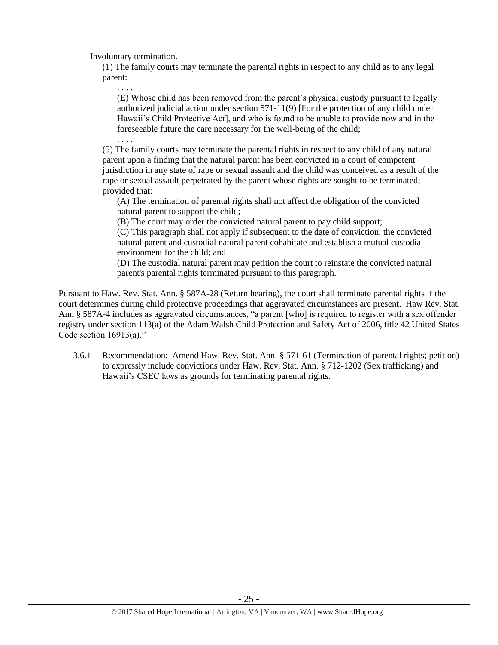Involuntary termination.

. . . .

(1) The family courts may terminate the parental rights in respect to any child as to any legal parent:

. . . . (E) Whose child has been removed from the parent's physical custody pursuant to legally authorized judicial action under section 571-11(9) [For the protection of any child under Hawaii's Child Protective Act], and who is found to be unable to provide now and in the foreseeable future the care necessary for the well-being of the child;

(5) The family courts may terminate the parental rights in respect to any child of any natural parent upon a finding that the natural parent has been convicted in a court of competent jurisdiction in any state of rape or sexual assault and the child was conceived as a result of the rape or sexual assault perpetrated by the parent whose rights are sought to be terminated; provided that:

(A) The termination of parental rights shall not affect the obligation of the convicted natural parent to support the child;

(B) The court may order the convicted natural parent to pay child support;

(C) This paragraph shall not apply if subsequent to the date of conviction, the convicted natural parent and custodial natural parent cohabitate and establish a mutual custodial environment for the child; and

(D) The custodial natural parent may petition the court to reinstate the convicted natural parent's parental rights terminated pursuant to this paragraph.

Pursuant to Haw. Rev. Stat. Ann. § 587A-28 (Return hearing), the court shall terminate parental rights if the court determines during child protective proceedings that aggravated circumstances are present. Haw Rev. Stat. Ann § 587A-4 includes as aggravated circumstances, "a parent [who] is required to register with a sex offender registry under section 113(a) of the Adam Walsh Child Protection and Safety Act of 2006, title 42 United States Code section  $16913(a)$ ."

3.6.1 Recommendation: Amend Haw. Rev. Stat. Ann. § 571-61 (Termination of parental rights; petition) to expressly include convictions under Haw. Rev. Stat. Ann. § 712-1202 (Sex trafficking) and Hawaii's CSEC laws as grounds for terminating parental rights.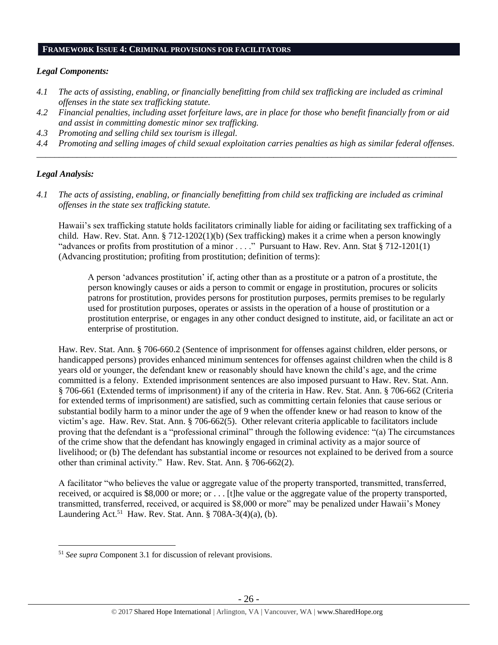#### **FRAMEWORK ISSUE 4: CRIMINAL PROVISIONS FOR FACILITATORS**

#### *Legal Components:*

- *4.1 The acts of assisting, enabling, or financially benefitting from child sex trafficking are included as criminal offenses in the state sex trafficking statute.*
- *4.2 Financial penalties, including asset forfeiture laws, are in place for those who benefit financially from or aid and assist in committing domestic minor sex trafficking.*
- *4.3 Promoting and selling child sex tourism is illegal.*
- *4.4 Promoting and selling images of child sexual exploitation carries penalties as high as similar federal offenses. \_\_\_\_\_\_\_\_\_\_\_\_\_\_\_\_\_\_\_\_\_\_\_\_\_\_\_\_\_\_\_\_\_\_\_\_\_\_\_\_\_\_\_\_\_\_\_\_\_\_\_\_\_\_\_\_\_\_\_\_\_\_\_\_\_\_\_\_\_\_\_\_\_\_\_\_\_\_\_\_\_\_\_\_\_\_\_\_\_\_\_\_\_\_*

# *Legal Analysis:*

 $\overline{a}$ 

*4.1 The acts of assisting, enabling, or financially benefitting from child sex trafficking are included as criminal offenses in the state sex trafficking statute.*

Hawaii's sex trafficking statute holds facilitators criminally liable for aiding or facilitating sex trafficking of a child. Haw. Rev. Stat. Ann. § 712-1202(1)(b) (Sex trafficking) makes it a crime when a person knowingly "advances or profits from prostitution of a minor . . . ." Pursuant to Haw. Rev. Ann. Stat § 712-1201(1) (Advancing prostitution; profiting from prostitution; definition of terms):

A person 'advances prostitution' if, acting other than as a prostitute or a patron of a prostitute, the person knowingly causes or aids a person to commit or engage in prostitution, procures or solicits patrons for prostitution, provides persons for prostitution purposes, permits premises to be regularly used for prostitution purposes, operates or assists in the operation of a house of prostitution or a prostitution enterprise, or engages in any other conduct designed to institute, aid, or facilitate an act or enterprise of prostitution.

Haw. Rev. Stat. Ann. § 706-660.2 (Sentence of imprisonment for offenses against children, elder persons, or handicapped persons) provides enhanced minimum sentences for offenses against children when the child is 8 years old or younger, the defendant knew or reasonably should have known the child's age, and the crime committed is a felony. Extended imprisonment sentences are also imposed pursuant to Haw. Rev. Stat. Ann. § 706-661 (Extended terms of imprisonment) if any of the criteria in Haw. Rev. Stat. Ann. § 706-662 (Criteria for extended terms of imprisonment) are satisfied, such as committing certain felonies that cause serious or substantial bodily harm to a minor under the age of 9 when the offender knew or had reason to know of the victim's age. Haw. Rev. Stat. Ann. § 706-662(5). Other relevant criteria applicable to facilitators include proving that the defendant is a "professional criminal" through the following evidence: "(a) The circumstances of the crime show that the defendant has knowingly engaged in criminal activity as a major source of livelihood; or (b) The defendant has substantial income or resources not explained to be derived from a source other than criminal activity." Haw. Rev. Stat. Ann. § 706-662(2).

A facilitator "who believes the value or aggregate value of the property transported, transmitted, transferred, received, or acquired is \$8,000 or more; or . . . [t]he value or the aggregate value of the property transported, transmitted, transferred, received, or acquired is \$8,000 or more" may be penalized under Hawaii's Money Laundering Act.<sup>51</sup> Haw. Rev. Stat. Ann. § 708A-3(4)(a), (b).

<sup>51</sup> *See supra* Component 3.1 for discussion of relevant provisions.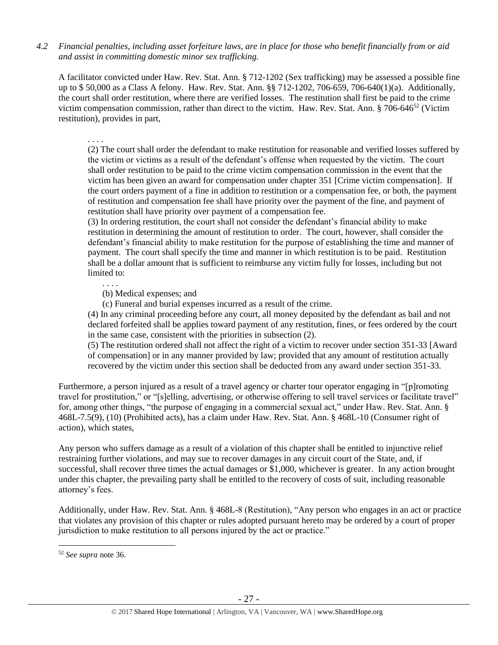*4.2 Financial penalties, including asset forfeiture laws, are in place for those who benefit financially from or aid and assist in committing domestic minor sex trafficking.*

A facilitator convicted under Haw. Rev. Stat. Ann. § 712-1202 (Sex trafficking) may be assessed a possible fine up to \$ 50,000 as a Class A felony. Haw. Rev. Stat. Ann. §§ 712-1202, 706-659, 706-640(1)(a). Additionally, the court shall order restitution, where there are verified losses. The restitution shall first be paid to the crime victim compensation commission, rather than direct to the victim. Haw. Rev. Stat. Ann.  $\S$  706-646<sup>52</sup> (Victim restitution), provides in part,

. . . .

(2) The court shall order the defendant to make restitution for reasonable and verified losses suffered by the victim or victims as a result of the defendant's offense when requested by the victim. The court shall order restitution to be paid to the crime victim compensation commission in the event that the victim has been given an award for compensation under chapter 351 [Crime victim compensation]. If the court orders payment of a fine in addition to restitution or a compensation fee, or both, the payment of restitution and compensation fee shall have priority over the payment of the fine, and payment of restitution shall have priority over payment of a compensation fee.

(3) In ordering restitution, the court shall not consider the defendant's financial ability to make restitution in determining the amount of restitution to order. The court, however, shall consider the defendant's financial ability to make restitution for the purpose of establishing the time and manner of payment. The court shall specify the time and manner in which restitution is to be paid. Restitution shall be a dollar amount that is sufficient to reimburse any victim fully for losses, including but not limited to:

. . . .

(b) Medical expenses; and

(c) Funeral and burial expenses incurred as a result of the crime.

(4) In any criminal proceeding before any court, all money deposited by the defendant as bail and not declared forfeited shall be applies toward payment of any restitution, fines, or fees ordered by the court in the same case, consistent with the priorities in subsection (2).

(5) The restitution ordered shall not affect the right of a victim to recover under section 351-33 [Award of compensation] or in any manner provided by law; provided that any amount of restitution actually recovered by the victim under this section shall be deducted from any award under section 351-33.

Furthermore, a person injured as a result of a travel agency or charter tour operator engaging in "[p]romoting travel for prostitution," or "[s]elling, advertising, or otherwise offering to sell travel services or facilitate travel" for, among other things, "the purpose of engaging in a commercial sexual act," under Haw. Rev. Stat. Ann. § 468L-7.5(9), (10) (Prohibited acts), has a claim under Haw. Rev. Stat. Ann. § 468L-10 (Consumer right of action), which states,

Any person who suffers damage as a result of a violation of this chapter shall be entitled to injunctive relief restraining further violations, and may sue to recover damages in any circuit court of the State, and, if successful, shall recover three times the actual damages or \$1,000, whichever is greater. In any action brought under this chapter, the prevailing party shall be entitled to the recovery of costs of suit, including reasonable attorney's fees.

Additionally, under Haw. Rev. Stat. Ann. § 468L-8 (Restitution), "Any person who engages in an act or practice that violates any provision of this chapter or rules adopted pursuant hereto may be ordered by a court of proper jurisdiction to make restitution to all persons injured by the act or practice."

 $\overline{a}$ 

<sup>52</sup> *See supra* note [36.](#page-12-0)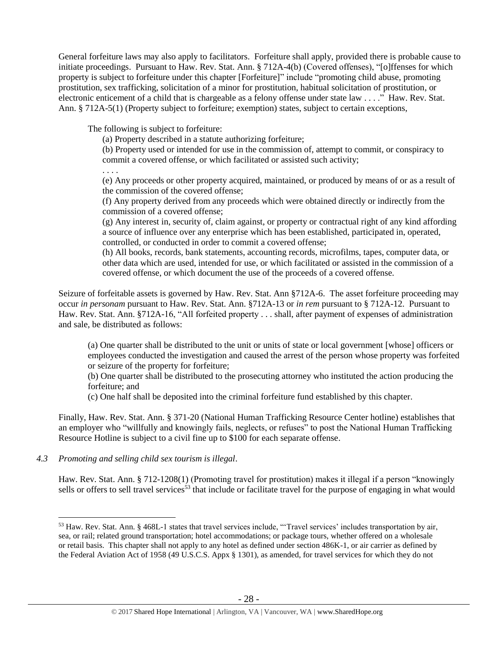General forfeiture laws may also apply to facilitators. Forfeiture shall apply, provided there is probable cause to initiate proceedings. Pursuant to Haw. Rev. Stat. Ann. § 712A-4(b) (Covered offenses), "[o]ffenses for which property is subject to forfeiture under this chapter [Forfeiture]" include "promoting child abuse, promoting prostitution, sex trafficking, solicitation of a minor for prostitution, habitual solicitation of prostitution, or electronic enticement of a child that is chargeable as a felony offense under state law . . . ." Haw. Rev. Stat. Ann. § 712A-5(1) (Property subject to forfeiture; exemption) states, subject to certain exceptions,

The following is subject to forfeiture:

(a) Property described in a statute authorizing forfeiture;

(b) Property used or intended for use in the commission of, attempt to commit, or conspiracy to commit a covered offense, or which facilitated or assisted such activity;

. . . .

(e) Any proceeds or other property acquired, maintained, or produced by means of or as a result of the commission of the covered offense;

(f) Any property derived from any proceeds which were obtained directly or indirectly from the commission of a covered offense;

(g) Any interest in, security of, claim against, or property or contractual right of any kind affording a source of influence over any enterprise which has been established, participated in, operated, controlled, or conducted in order to commit a covered offense;

(h) All books, records, bank statements, accounting records, microfilms, tapes, computer data, or other data which are used, intended for use, or which facilitated or assisted in the commission of a covered offense, or which document the use of the proceeds of a covered offense.

Seizure of forfeitable assets is governed by Haw. Rev. Stat. Ann §712A-6. The asset forfeiture proceeding may occur *in personam* pursuant to Haw. Rev. Stat. Ann. §712A-13 or *in rem* pursuant to § 712A-12. Pursuant to Haw. Rev. Stat. Ann. §712A-16, "All forfeited property . . . shall, after payment of expenses of administration and sale, be distributed as follows:

(a) One quarter shall be distributed to the unit or units of state or local government [whose] officers or employees conducted the investigation and caused the arrest of the person whose property was forfeited or seizure of the property for forfeiture;

(b) One quarter shall be distributed to the prosecuting attorney who instituted the action producing the forfeiture; and

(c) One half shall be deposited into the criminal forfeiture fund established by this chapter.

Finally, Haw. Rev. Stat. Ann. § 371-20 (National Human Trafficking Resource Center hotline) establishes that an employer who "willfully and knowingly fails, neglects, or refuses" to post the National Human Trafficking Resource Hotline is subject to a civil fine up to \$100 for each separate offense.

# *4.3 Promoting and selling child sex tourism is illegal*.

Haw. Rev. Stat. Ann. § 712-1208(1) (Promoting travel for prostitution) makes it illegal if a person "knowingly sells or offers to sell travel services<sup>53</sup> that include or facilitate travel for the purpose of engaging in what would

 $\overline{a}$ <sup>53</sup> Haw. Rev. Stat. Ann. § 468L-1 states that travel services include, "'Travel services' includes transportation by air, sea, or rail; related ground transportation; hotel accommodations; or package tours, whether offered on a wholesale or retail basis. This chapter shall not apply to any hotel as defined under section 486K-1, or air carrier as defined by the Federal Aviation Act of 1958 (49 U.S.C.S. Appx § 1301), as amended, for travel services for which they do not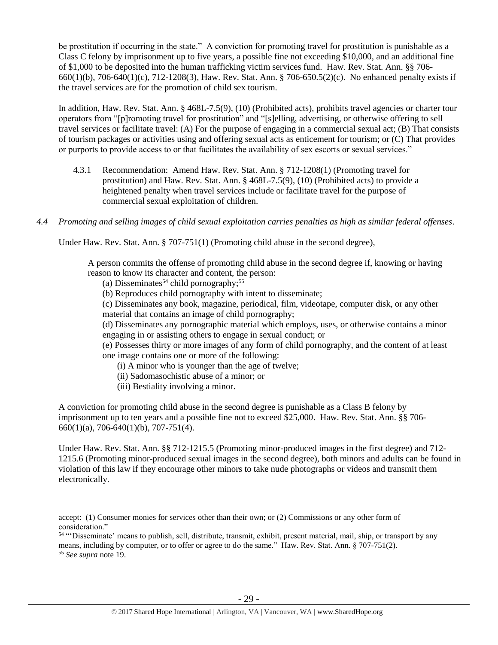be prostitution if occurring in the state." A conviction for promoting travel for prostitution is punishable as a Class C felony by imprisonment up to five years, a possible fine not exceeding \$10,000, and an additional fine of \$1,000 to be deposited into the human trafficking victim services fund. Haw. Rev. Stat. Ann. §§ 706- 660(1)(b), 706-640(1)(c), 712-1208(3), Haw. Rev. Stat. Ann. § 706-650.5(2)(c). No enhanced penalty exists if the travel services are for the promotion of child sex tourism.

In addition, Haw. Rev. Stat. Ann. § 468L-7.5(9), (10) (Prohibited acts), prohibits travel agencies or charter tour operators from "[p]romoting travel for prostitution" and "[s]elling, advertising, or otherwise offering to sell travel services or facilitate travel: (A) For the purpose of engaging in a commercial sexual act; (B) That consists of tourism packages or activities using and offering sexual acts as enticement for tourism; or (C) That provides or purports to provide access to or that facilitates the availability of sex escorts or sexual services."

- 4.3.1 Recommendation: Amend Haw. Rev. Stat. Ann. § 712-1208(1) (Promoting travel for prostitution) and Haw. Rev. Stat. Ann. § 468L-7.5(9), (10) (Prohibited acts) to provide a heightened penalty when travel services include or facilitate travel for the purpose of commercial sexual exploitation of children.
- *4.4 Promoting and selling images of child sexual exploitation carries penalties as high as similar federal offenses*.

Under Haw. Rev. Stat. Ann. § 707-751(1) (Promoting child abuse in the second degree),

A person commits the offense of promoting child abuse in the second degree if, knowing or having reason to know its character and content, the person:

- (a) Disseminates<sup>54</sup> child pornography;<sup>55</sup>
- (b) Reproduces child pornography with intent to disseminate;
- (c) Disseminates any book, magazine, periodical, film, videotape, computer disk, or any other material that contains an image of child pornography;
- (d) Disseminates any pornographic material which employs, uses, or otherwise contains a minor engaging in or assisting others to engage in sexual conduct; or

(e) Possesses thirty or more images of any form of child pornography, and the content of at least one image contains one or more of the following:

- (i) A minor who is younger than the age of twelve;
- (ii) Sadomasochistic abuse of a minor; or
- (iii) Bestiality involving a minor.

 $\overline{a}$ 

A conviction for promoting child abuse in the second degree is punishable as a Class B felony by imprisonment up to ten years and a possible fine not to exceed \$25,000. Haw. Rev. Stat. Ann. §§ 706- 660(1)(a), 706-640(1)(b), 707-751(4).

Under Haw. Rev. Stat. Ann. §§ 712-1215.5 (Promoting minor-produced images in the first degree) and 712- 1215.6 (Promoting minor-produced sexual images in the second degree), both minors and adults can be found in violation of this law if they encourage other minors to take nude photographs or videos and transmit them electronically.

accept: (1) Consumer monies for services other than their own; or (2) Commissions or any other form of consideration."

<sup>54</sup> "'Disseminate' means to publish, sell, distribute, transmit, exhibit, present material, mail, ship, or transport by any means, including by computer, or to offer or agree to do the same." Haw. Rev. Stat. Ann. § 707-751(2). <sup>55</sup> *See supra* note [19.](#page-3-0)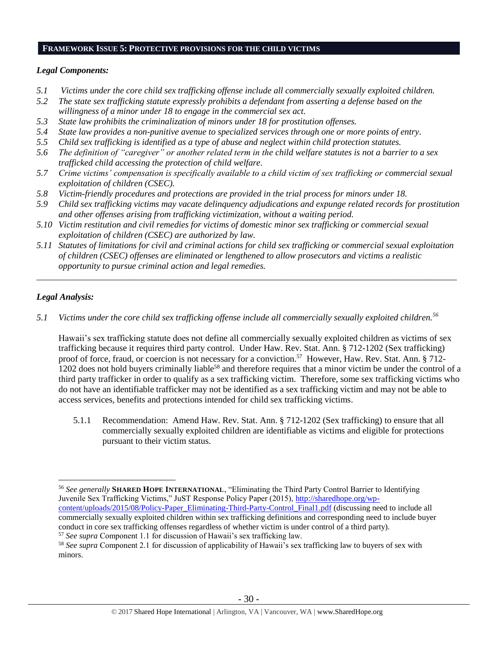#### **FRAMEWORK ISSUE 5: PROTECTIVE PROVISIONS FOR THE CHILD VICTIMS**

#### *Legal Components:*

- *5.1 Victims under the core child sex trafficking offense include all commercially sexually exploited children.*
- *5.2 The state sex trafficking statute expressly prohibits a defendant from asserting a defense based on the willingness of a minor under 18 to engage in the commercial sex act.*
- *5.3 State law prohibits the criminalization of minors under 18 for prostitution offenses.*
- *5.4 State law provides a non-punitive avenue to specialized services through one or more points of entry.*
- *5.5 Child sex trafficking is identified as a type of abuse and neglect within child protection statutes.*
- *5.6 The definition of "caregiver" or another related term in the child welfare statutes is not a barrier to a sex trafficked child accessing the protection of child welfare.*
- *5.7 Crime victims' compensation is specifically available to a child victim of sex trafficking or commercial sexual exploitation of children (CSEC).*
- *5.8 Victim-friendly procedures and protections are provided in the trial process for minors under 18.*
- *5.9 Child sex trafficking victims may vacate delinquency adjudications and expunge related records for prostitution and other offenses arising from trafficking victimization, without a waiting period.*
- *5.10 Victim restitution and civil remedies for victims of domestic minor sex trafficking or commercial sexual exploitation of children (CSEC) are authorized by law.*
- *5.11 Statutes of limitations for civil and criminal actions for child sex trafficking or commercial sexual exploitation of children (CSEC) offenses are eliminated or lengthened to allow prosecutors and victims a realistic opportunity to pursue criminal action and legal remedies.*

*\_\_\_\_\_\_\_\_\_\_\_\_\_\_\_\_\_\_\_\_\_\_\_\_\_\_\_\_\_\_\_\_\_\_\_\_\_\_\_\_\_\_\_\_\_\_\_\_\_\_\_\_\_\_\_\_\_\_\_\_\_\_\_\_\_\_\_\_\_\_\_\_\_\_\_\_\_\_\_\_\_\_\_\_\_\_\_\_\_\_\_\_\_\_*

# *Legal Analysis:*

 $\overline{a}$ 

*5.1 Victims under the core child sex trafficking offense include all commercially sexually exploited children.<sup>56</sup>*

Hawaii's sex trafficking statute does not define all commercially sexually exploited children as victims of sex trafficking because it requires third party control. Under Haw. Rev. Stat. Ann. § 712-1202 (Sex trafficking) proof of force, fraud, or coercion is not necessary for a conviction.<sup>57</sup> However, Haw. Rev. Stat. Ann. § 712-1202 does not hold buyers criminally liable<sup>58</sup> and therefore requires that a minor victim be under the control of a third party trafficker in order to qualify as a sex trafficking victim. Therefore, some sex trafficking victims who do not have an identifiable trafficker may not be identified as a sex trafficking victim and may not be able to access services, benefits and protections intended for child sex trafficking victims.

5.1.1 Recommendation: Amend Haw. Rev. Stat. Ann. § 712-1202 (Sex trafficking) to ensure that all commercially sexually exploited children are identifiable as victims and eligible for protections pursuant to their victim status.

<sup>56</sup> *See generally* **SHARED HOPE INTERNATIONAL**, "Eliminating the Third Party Control Barrier to Identifying Juvenile Sex Trafficking Victims," JuST Response Policy Paper (2015), [http://sharedhope.org/wp](http://sharedhope.org/wp-content/uploads/2015/08/Policy-Paper_Eliminating-Third-Party-Control_Final1.pdf)[content/uploads/2015/08/Policy-Paper\\_Eliminating-Third-Party-Control\\_Final1.pdf](http://sharedhope.org/wp-content/uploads/2015/08/Policy-Paper_Eliminating-Third-Party-Control_Final1.pdf) (discussing need to include all

commercially sexually exploited children within sex trafficking definitions and corresponding need to include buyer conduct in core sex trafficking offenses regardless of whether victim is under control of a third party). <sup>57</sup> *See supra* Component 1.1 for discussion of Hawaii's sex trafficking law.

<sup>58</sup> *See supra* Component 2.1 for discussion of applicability of Hawaii's sex trafficking law to buyers of sex with minors.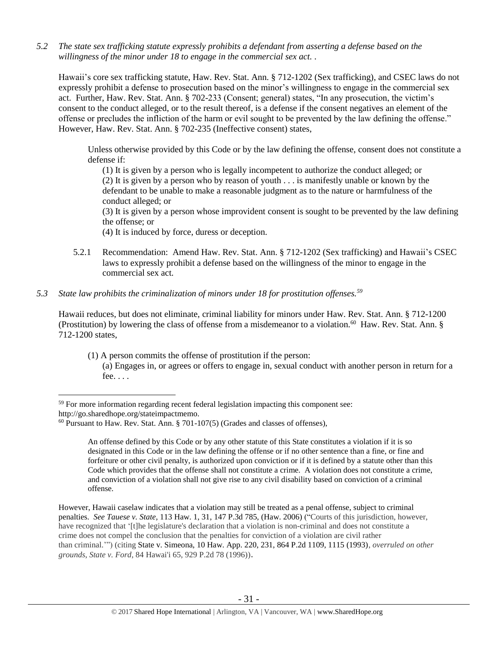*5.2 The state sex trafficking statute expressly prohibits a defendant from asserting a defense based on the willingness of the minor under 18 to engage in the commercial sex act. .*

Hawaii's core sex trafficking statute, Haw. Rev. Stat. Ann. § 712-1202 (Sex trafficking), and CSEC laws do not expressly prohibit a defense to prosecution based on the minor's willingness to engage in the commercial sex act. Further, Haw. Rev. Stat. Ann. § 702-233 (Consent; general) states, "In any prosecution, the victim's consent to the conduct alleged, or to the result thereof, is a defense if the consent negatives an element of the offense or precludes the infliction of the harm or evil sought to be prevented by the law defining the offense." However, Haw. Rev. Stat. Ann. § 702-235 (Ineffective consent) states,

Unless otherwise provided by this Code or by the law defining the offense, consent does not constitute a defense if:

(1) It is given by a person who is legally incompetent to authorize the conduct alleged; or (2) It is given by a person who by reason of youth . . . is manifestly unable or known by the defendant to be unable to make a reasonable judgment as to the nature or harmfulness of the conduct alleged; or

(3) It is given by a person whose improvident consent is sought to be prevented by the law defining the offense; or

(4) It is induced by force, duress or deception.

5.2.1 Recommendation: Amend Haw. Rev. Stat. Ann. § 712-1202 (Sex trafficking) and Hawaii's CSEC laws to expressly prohibit a defense based on the willingness of the minor to engage in the commercial sex act.

#### *5.3 State law prohibits the criminalization of minors under 18 for prostitution offenses.<sup>59</sup>*

Hawaii reduces, but does not eliminate, criminal liability for minors under Haw. Rev. Stat. Ann. § 712-1200 (Prostitution) by lowering the class of offense from a misdemeanor to a violation.<sup>60</sup> Haw. Rev. Stat. Ann. § 712-1200 states,

(1) A person commits the offense of prostitution if the person:

(a) Engages in, or agrees or offers to engage in, sexual conduct with another person in return for a fee. . . .

 $\overline{a}$ 

<sup>&</sup>lt;sup>59</sup> For more information regarding recent federal legislation impacting this component see:

http://go.sharedhope.org/stateimpactmemo.

 $60$  Pursuant to Haw. Rev. Stat. Ann. § 701-107(5) (Grades and classes of offenses),

An offense defined by this Code or by any other statute of this State constitutes a violation if it is so designated in this Code or in the law defining the offense or if no other sentence than a fine, or fine and forfeiture or other civil penalty, is authorized upon conviction or if it is defined by a statute other than this Code which provides that the offense shall not constitute a crime. A violation does not constitute a crime, and conviction of a violation shall not give rise to any civil disability based on conviction of a criminal offense.

However, Hawaii caselaw indicates that a violation may still be treated as a penal offense, subject to criminal penalties. *See Tauese v. State,* 113 Haw. 1, 31, 147 P.3d 785, (Haw. 2006) ("Courts of this jurisdiction, however, have recognized that '[t]he legislature's declaration that a violation is non-criminal and does not constitute a crime does not compel the conclusion that the penalties for conviction of a violation are civil rather than criminal.'") (citing State v. Simeona, 10 Haw. App. 220, 231, 864 P.2d 1109, 1115 (1993), *overruled on other grounds*, *State v. Ford*, 84 Hawai'i [65, 929 P.2d 78 \(1996\)\)](http://www.lexis.com/research/buttonTFLink?_m=fc4e6c405b2a4b53002b31767e975711&_xfercite=%3ccite%20cc%3d%22USA%22%3e%3c%21%5bCDATA%5b113%20Haw.%201%5d%5d%3e%3c%2fcite%3e&_butType=3&_butStat=2&_butNum=406&_butInline=1&_butinfo=%3ccite%20cc%3d%22USA%22%3e%3c%21%5bCDATA%5b84%20Haw.%2065%5d%5d%3e%3c%2fcite%3e&_fmtstr=FULL&docnum=1&_startdoc=1&wchp=dGLbVzB-zSkAA&_md5=1c725854a4a861d1dc5ff6ed42fb5b3f).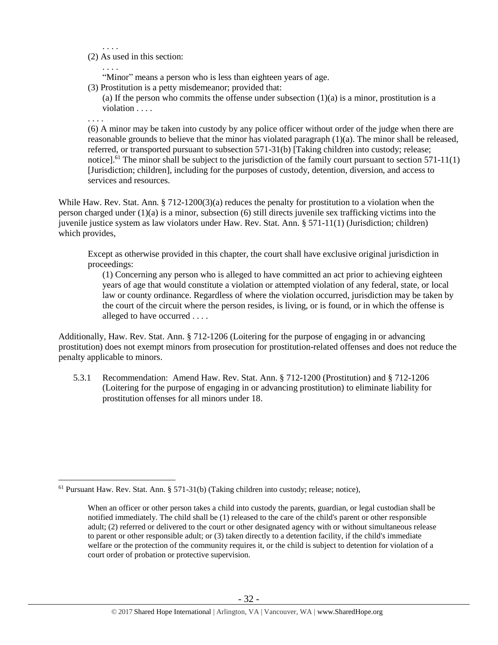(2) As used in this section:

. . . .

. . . . "Minor" means a person who is less than eighteen years of age.

(3) Prostitution is a petty misdemeanor; provided that:

(a) If the person who commits the offense under subsection  $(1)(a)$  is a minor, prostitution is a violation . . . .

. . . .

 $\overline{a}$ 

(6) A minor may be taken into custody by any police officer without order of the judge when there are reasonable grounds to believe that the minor has violated paragraph (1)(a). The minor shall be released, referred, or transported pursuant to subsection 571-31(b) [Taking children into custody; release; notice].<sup>61</sup> The minor shall be subject to the jurisdiction of the family court pursuant to section 571-11(1) [Jurisdiction; children], including for the purposes of custody, detention, diversion, and access to services and resources.

While Haw. Rev. Stat. Ann. § 712-1200(3)(a) reduces the penalty for prostitution to a violation when the person charged under (1)(a) is a minor, subsection (6) still directs juvenile sex trafficking victims into the juvenile justice system as law violators under Haw. Rev. Stat. Ann. § 571-11(1) (Jurisdiction; children) which provides,

Except as otherwise provided in this chapter, the court shall have exclusive original jurisdiction in proceedings:

(1) Concerning any person who is alleged to have committed an act prior to achieving eighteen years of age that would constitute a violation or attempted violation of any federal, state, or local law or county ordinance. Regardless of where the violation occurred, jurisdiction may be taken by the court of the circuit where the person resides, is living, or is found, or in which the offense is alleged to have occurred . . . .

Additionally, Haw. Rev. Stat. Ann. § 712-1206 (Loitering for the purpose of engaging in or advancing prostitution) does not exempt minors from prosecution for prostitution-related offenses and does not reduce the penalty applicable to minors.

5.3.1 Recommendation: Amend Haw. Rev. Stat. Ann. § 712-1200 (Prostitution) and § 712-1206 (Loitering for the purpose of engaging in or advancing prostitution) to eliminate liability for prostitution offenses for all minors under 18.

 $61$  Pursuant Haw. Rev. Stat. Ann. § 571-31(b) (Taking children into custody; release; notice),

When an officer or other person takes a child into custody the parents, guardian, or legal custodian shall be notified immediately. The child shall be (1) released to the care of the child's parent or other responsible adult; (2) referred or delivered to the court or other designated agency with or without simultaneous release to parent or other responsible adult; or (3) taken directly to a detention facility, if the child's immediate welfare or the protection of the community requires it, or the child is subject to detention for violation of a court order of probation or protective supervision.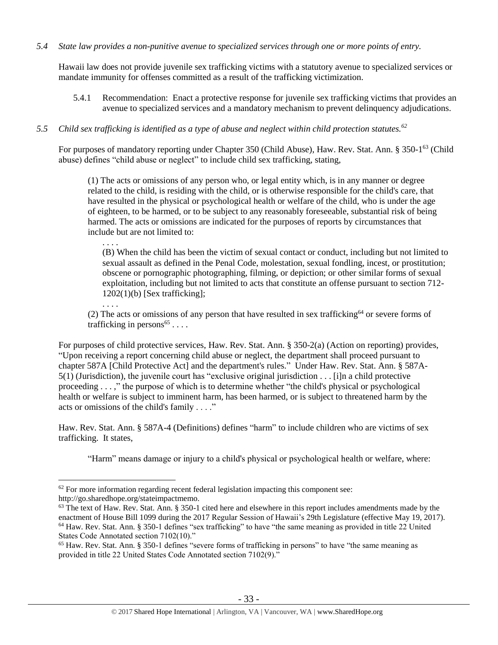#### *5.4 State law provides a non-punitive avenue to specialized services through one or more points of entry.*

Hawaii law does not provide juvenile sex trafficking victims with a statutory avenue to specialized services or mandate immunity for offenses committed as a result of the trafficking victimization.

5.4.1 Recommendation: Enact a protective response for juvenile sex trafficking victims that provides an avenue to specialized services and a mandatory mechanism to prevent delinquency adjudications.

# *5.5 Child sex trafficking is identified as a type of abuse and neglect within child protection statutes.<sup>62</sup>*

For purposes of mandatory reporting under Chapter 350 (Child Abuse), Haw. Rev. Stat. Ann. § 350-1<sup>63</sup> (Child abuse) defines "child abuse or neglect" to include child sex trafficking, stating,

(1) The acts or omissions of any person who, or legal entity which, is in any manner or degree related to the child, is residing with the child, or is otherwise responsible for the child's care, that have resulted in the physical or psychological health or welfare of the child, who is under the age of eighteen, to be harmed, or to be subject to any reasonably foreseeable, substantial risk of being harmed. The acts or omissions are indicated for the purposes of reports by circumstances that include but are not limited to:

(B) When the child has been the victim of sexual contact or conduct, including but not limited to sexual assault as defined in the Penal Code, molestation, sexual fondling, incest, or prostitution; obscene or pornographic photographing, filming, or depiction; or other similar forms of sexual exploitation, including but not limited to acts that constitute an offense pursuant to section 712-  $1202(1)(b)$  [Sex trafficking]; . . . .

(2) The acts or omissions of any person that have resulted in sex trafficking<sup>64</sup> or severe forms of trafficking in persons<sup>65</sup>....

For purposes of child protective services, Haw. Rev. Stat. Ann. § 350-2(a) (Action on reporting) provides, "Upon receiving a report concerning child abuse or neglect, the department shall proceed pursuant to chapter 587A [Child Protective Act] and the department's rules." Under Haw. Rev. Stat. Ann. § 587A- $5(1)$  (Jurisdiction), the juvenile court has "exclusive original jurisdiction . . . [i]n a child protective proceeding . . . ," the purpose of which is to determine whether "the child's physical or psychological health or welfare is subject to imminent harm, has been harmed, or is subject to threatened harm by the acts or omissions of the child's family . . . ."

Haw. Rev. Stat. Ann. § 587A-4 (Definitions) defines "harm" to include children who are victims of sex trafficking. It states,

"Harm" means damage or injury to a child's physical or psychological health or welfare, where:

 $\overline{a}$ 

<span id="page-32-0"></span>. . . .

 $62$  For more information regarding recent federal legislation impacting this component see:

http://go.sharedhope.org/stateimpactmemo.

<sup>&</sup>lt;sup>63</sup> The text of Haw. Rev. Stat. Ann. § 350-1 cited here and elsewhere in this report includes amendments made by the enactment of House Bill 1099 during the 2017 Regular Session of Hawaii's 29th Legislature (effective May 19, 2017). <sup>64</sup> Haw. Rev. Stat. Ann. § 350-1 defines "sex trafficking" to have "the same meaning as provided in title 22 United States Code Annotated section 7102(10)."

<sup>65</sup> Haw. Rev. Stat. Ann. § 350-1 defines "severe forms of trafficking in persons" to have "the same meaning as provided in title 22 United States Code Annotated section 7102(9)."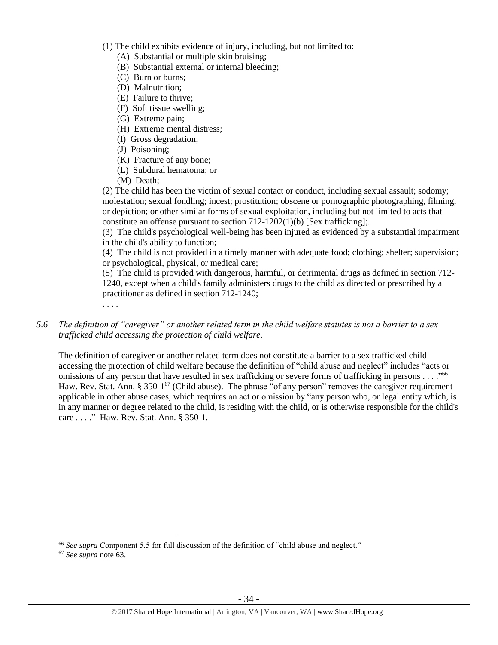- (1) The child exhibits evidence of injury, including, but not limited to:
	- (A) Substantial or multiple skin bruising;
	- (B) Substantial external or internal bleeding;
	- (C) Burn or burns;
	- (D) Malnutrition;
	- (E) Failure to thrive;
	- (F) Soft tissue swelling;
	- (G) Extreme pain;
	- (H) Extreme mental distress;
	- (I) Gross degradation;
	- (J) Poisoning;
	- (K) Fracture of any bone;
	- (L) Subdural hematoma; or
	- (M) Death;

(2) The child has been the victim of sexual contact or conduct, including sexual assault; sodomy; molestation; sexual fondling; incest; prostitution; obscene or pornographic photographing, filming, or depiction; or other similar forms of sexual exploitation, including but not limited to acts that constitute an offense pursuant to section 712-1202(1)(b) [Sex trafficking];.

(3) The child's psychological well-being has been injured as evidenced by a substantial impairment in the child's ability to function;

(4) The child is not provided in a timely manner with adequate food; clothing; shelter; supervision; or psychological, physical, or medical care;

(5) The child is provided with dangerous, harmful, or detrimental drugs as defined in section 712- 1240, except when a child's family administers drugs to the child as directed or prescribed by a practitioner as defined in section 712-1240;

. . . .

*5.6 The definition of "caregiver" or another related term in the child welfare statutes is not a barrier to a sex trafficked child accessing the protection of child welfare.*

The definition of caregiver or another related term does not constitute a barrier to a sex trafficked child accessing the protection of child welfare because the definition of "child abuse and neglect" includes "acts or omissions of any person that have resulted in sex trafficking or severe forms of trafficking in persons . . . . "<sup>66</sup> Haw. Rev. Stat. Ann. § 350-1<sup>67</sup> (Child abuse). The phrase "of any person" removes the caregiver requirement applicable in other abuse cases, which requires an act or omission by "any person who, or legal entity which, is in any manner or degree related to the child, is residing with the child, or is otherwise responsible for the child's care . . . ." Haw. Rev. Stat. Ann. § 350-1.

 $\overline{a}$ 

<sup>66</sup> *See supra* Component 5.5 for full discussion of the definition of "child abuse and neglect."

<sup>67</sup> *See supra* note [63.](#page-32-0)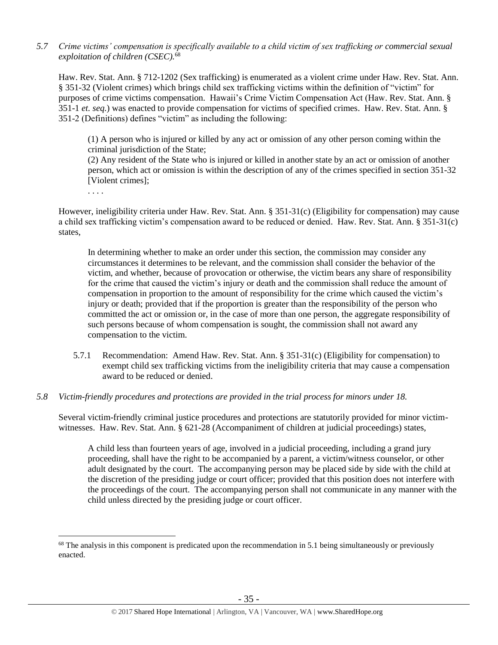*5.7 Crime victims' compensation is specifically available to a child victim of sex trafficking or commercial sexual exploitation of children (CSEC).* 68

Haw. Rev. Stat. Ann. § 712-1202 (Sex trafficking) is enumerated as a violent crime under Haw. Rev. Stat. Ann. § 351-32 (Violent crimes) which brings child sex trafficking victims within the definition of "victim" for purposes of crime victims compensation. Hawaii's Crime Victim Compensation Act (Haw. Rev. Stat. Ann. § 351-1 *et. seq.*) was enacted to provide compensation for victims of specified crimes. Haw. Rev. Stat. Ann. § 351-2 (Definitions) defines "victim" as including the following:

(1) A person who is injured or killed by any act or omission of any other person coming within the criminal jurisdiction of the State;

(2) Any resident of the State who is injured or killed in another state by an act or omission of another person, which act or omission is within the description of any of the crimes specified in [section 351-32](https://a.next.westlaw.com/Link/Document/FullText?findType=L&pubNum=1000522&cite=HISTS351-32&originatingDoc=N3C24DF804C5A11DDB03786E014444BA4&refType=LQ&originationContext=document&transitionType=DocumentItem&contextData=(sc.Search)) [Violent crimes]:

. . . .

 $\overline{a}$ 

However, ineligibility criteria under Haw. Rev. Stat. Ann. § 351-31(c) (Eligibility for compensation) may cause a child sex trafficking victim's compensation award to be reduced or denied. Haw. Rev. Stat. Ann. § 351-31(c) states,

In determining whether to make an order under this section, the commission may consider any circumstances it determines to be relevant, and the commission shall consider the behavior of the victim, and whether, because of provocation or otherwise, the victim bears any share of responsibility for the crime that caused the victim's injury or death and the commission shall reduce the amount of compensation in proportion to the amount of responsibility for the crime which caused the victim's injury or death; provided that if the proportion is greater than the responsibility of the person who committed the act or omission or, in the case of more than one person, the aggregate responsibility of such persons because of whom compensation is sought, the commission shall not award any compensation to the victim.

- 5.7.1 Recommendation: Amend Haw. Rev. Stat. Ann. § 351-31(c) (Eligibility for compensation) to exempt child sex trafficking victims from the ineligibility criteria that may cause a compensation award to be reduced or denied.
- *5.8 Victim-friendly procedures and protections are provided in the trial process for minors under 18.*

Several victim-friendly criminal justice procedures and protections are statutorily provided for minor victimwitnesses. Haw. Rev. Stat. Ann. § 621-28 (Accompaniment of children at judicial proceedings) states,

A child less than fourteen years of age, involved in a judicial proceeding, including a grand jury proceeding, shall have the right to be accompanied by a parent, a victim/witness counselor, or other adult designated by the court. The accompanying person may be placed side by side with the child at the discretion of the presiding judge or court officer; provided that this position does not interfere with the proceedings of the court. The accompanying person shall not communicate in any manner with the child unless directed by the presiding judge or court officer.

<sup>&</sup>lt;sup>68</sup> The analysis in this component is predicated upon the recommendation in 5.1 being simultaneously or previously enacted.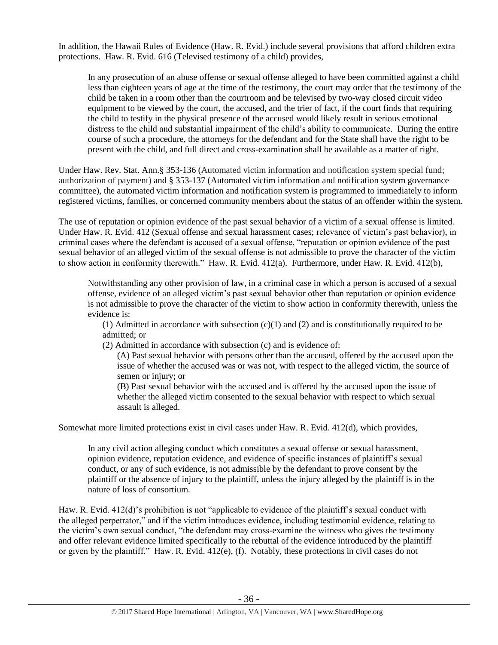In addition, the Hawaii Rules of Evidence (Haw. R. Evid.) include several provisions that afford children extra protections. Haw. R. Evid. 616 (Televised testimony of a child) provides,

In any prosecution of an abuse offense or sexual offense alleged to have been committed against a child less than eighteen years of age at the time of the testimony, the court may order that the testimony of the child be taken in a room other than the courtroom and be televised by two-way closed circuit video equipment to be viewed by the court, the accused, and the trier of fact, if the court finds that requiring the child to testify in the physical presence of the accused would likely result in serious emotional distress to the child and substantial impairment of the child's ability to communicate. During the entire course of such a procedure, the attorneys for the defendant and for the State shall have the right to be present with the child, and full direct and cross-examination shall be available as a matter of right.

Under Haw. Rev. Stat. Ann.§ 353-136 (Automated victim information and notification system special fund; authorization of payment) and § 353-137 (Automated victim information and notification system governance committee), the automated victim information and notification system is programmed to immediately to inform registered victims, families, or concerned community members about the status of an offender within the system.

The use of reputation or opinion evidence of the past sexual behavior of a victim of a sexual offense is limited. Under Haw. R. Evid. 412 (Sexual offense and sexual harassment cases; relevance of victim's past behavior), in criminal cases where the defendant is accused of a sexual offense, "reputation or opinion evidence of the past sexual behavior of an alleged victim of the sexual offense is not admissible to prove the character of the victim to show action in conformity therewith." Haw. R. Evid. 412(a). Furthermore, under Haw. R. Evid. 412(b),

Notwithstanding any other provision of law, in a criminal case in which a person is accused of a sexual offense, evidence of an alleged victim's past sexual behavior other than reputation or opinion evidence is not admissible to prove the character of the victim to show action in conformity therewith, unless the evidence is:

(1) Admitted in accordance with subsection  $(c)(1)$  and (2) and is constitutionally required to be admitted; or

(2) Admitted in accordance with subsection (c) and is evidence of:

(A) Past sexual behavior with persons other than the accused, offered by the accused upon the issue of whether the accused was or was not, with respect to the alleged victim, the source of semen or injury; or

(B) Past sexual behavior with the accused and is offered by the accused upon the issue of whether the alleged victim consented to the sexual behavior with respect to which sexual assault is alleged.

Somewhat more limited protections exist in civil cases under Haw. R. Evid. 412(d), which provides,

In any civil action alleging conduct which constitutes a sexual offense or sexual harassment, opinion evidence, reputation evidence, and evidence of specific instances of plaintiff's sexual conduct, or any of such evidence, is not admissible by the defendant to prove consent by the plaintiff or the absence of injury to the plaintiff, unless the injury alleged by the plaintiff is in the nature of loss of consortium.

Haw. R. Evid. 412(d)'s prohibition is not "applicable to evidence of the plaintiff's sexual conduct with the alleged perpetrator," and if the victim introduces evidence, including testimonial evidence, relating to the victim's own sexual conduct, "the defendant may cross-examine the witness who gives the testimony and offer relevant evidence limited specifically to the rebuttal of the evidence introduced by the plaintiff or given by the plaintiff." Haw. R. Evid. 412(e), (f). Notably, these protections in civil cases do not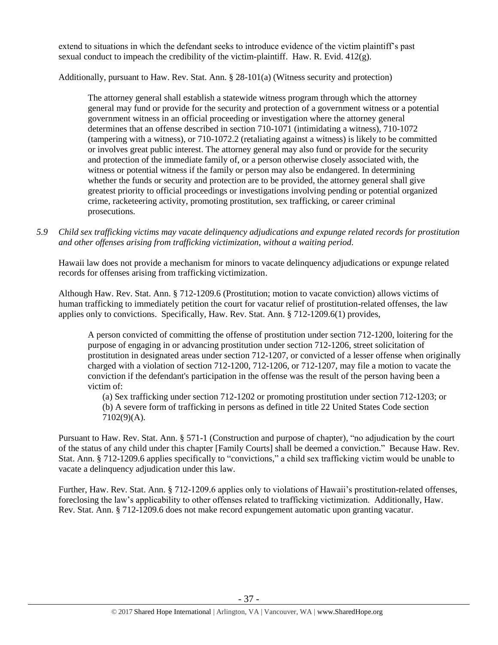extend to situations in which the defendant seeks to introduce evidence of the victim plaintiff's past sexual conduct to impeach the credibility of the victim-plaintiff. Haw. R. Evid.  $412(g)$ .

Additionally, pursuant to Haw. Rev. Stat. Ann. § 28-101(a) (Witness security and protection)

The attorney general shall establish a statewide witness program through which the attorney general may fund or provide for the security and protection of a government witness or a potential government witness in an official proceeding or investigation where the attorney general determines that an offense described in section 710-1071 (intimidating a witness), 710-1072 (tampering with a witness), or 710-1072.2 (retaliating against a witness) is likely to be committed or involves great public interest. The attorney general may also fund or provide for the security and protection of the immediate family of, or a person otherwise closely associated with, the witness or potential witness if the family or person may also be endangered. In determining whether the funds or security and protection are to be provided, the attorney general shall give greatest priority to official proceedings or investigations involving pending or potential organized crime, racketeering activity, promoting prostitution, sex trafficking, or career criminal prosecutions.

*5.9 Child sex trafficking victims may vacate delinquency adjudications and expunge related records for prostitution and other offenses arising from trafficking victimization, without a waiting period.*

Hawaii law does not provide a mechanism for minors to vacate delinquency adjudications or expunge related records for offenses arising from trafficking victimization.

Although Haw. Rev. Stat. Ann. § 712-1209.6 (Prostitution; motion to vacate conviction) allows victims of human trafficking to immediately petition the court for vacatur relief of prostitution-related offenses, the law applies only to convictions. Specifically, Haw. Rev. Stat. Ann. § 712-1209.6(1) provides,

A person convicted of committing the offense of prostitution under section 712-1200, loitering for the purpose of engaging in or advancing prostitution under section 712-1206, street solicitation of prostitution in designated areas under section 712-1207, or convicted of a lesser offense when originally charged with a violation of section 712-1200, 712-1206, or 712-1207, may file a motion to vacate the conviction if the defendant's participation in the offense was the result of the person having been a victim of:

(a) Sex trafficking under section 712-1202 or promoting prostitution under section 712-1203; or (b) A severe form of trafficking in persons as defined in title 22 United States Code section 7102(9)(A).

Pursuant to Haw. Rev. Stat. Ann. § 571-1 (Construction and purpose of chapter), "no adjudication by the court of the status of any child under this chapter [Family Courts] shall be deemed a conviction." Because Haw. Rev. Stat. Ann. § 712-1209.6 applies specifically to "convictions," a child sex trafficking victim would be unable to vacate a delinquency adjudication under this law.

Further, Haw. Rev. Stat. Ann. § 712-1209.6 applies only to violations of Hawaii's prostitution-related offenses, foreclosing the law's applicability to other offenses related to trafficking victimization. Additionally, Haw. Rev. Stat. Ann. § 712-1209.6 does not make record expungement automatic upon granting vacatur.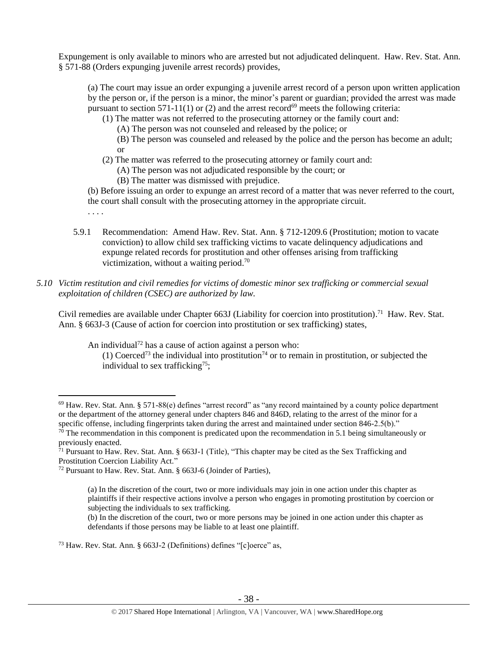Expungement is only available to minors who are arrested but not adjudicated delinquent. Haw. Rev. Stat. Ann. § 571-88 (Orders expunging juvenile arrest records) provides,

(a) The court may issue an order expunging a juvenile arrest record of a person upon written application by the person or, if the person is a minor, the minor's parent or guardian; provided the arrest was made pursuant to section 571-11(1) or (2) and the arrest record<sup>69</sup> meets the following criteria:

(1) The matter was not referred to the prosecuting attorney or the family court and:

(A) The person was not counseled and released by the police; or

(B) The person was counseled and released by the police and the person has become an adult; or

- (2) The matter was referred to the prosecuting attorney or family court and:
	- (A) The person was not adjudicated responsible by the court; or
	- (B) The matter was dismissed with prejudice.

. . . .

(b) Before issuing an order to expunge an arrest record of a matter that was never referred to the court, the court shall consult with the prosecuting attorney in the appropriate circuit.

- 5.9.1 Recommendation: Amend Haw. Rev. Stat. Ann. § 712-1209.6 (Prostitution; motion to vacate conviction) to allow child sex trafficking victims to vacate delinquency adjudications and expunge related records for prostitution and other offenses arising from trafficking victimization, without a waiting period.<sup>70</sup>
- *5.10 Victim restitution and civil remedies for victims of domestic minor sex trafficking or commercial sexual exploitation of children (CSEC) are authorized by law.*

Civil remedies are available under Chapter 663J (Liability for coercion into prostitution).<sup>71</sup> Haw. Rev. Stat. Ann. § 663J-3 (Cause of action for coercion into prostitution or sex trafficking) states,

An individual<sup>72</sup> has a cause of action against a person who:

(1) Coerced<sup>73</sup> the individual into prostitution<sup>74</sup> or to remain in prostitution, or subjected the individual to sex trafficking<sup>75</sup>;

(b) In the discretion of the court, two or more persons may be joined in one action under this chapter as defendants if those persons may be liable to at least one plaintiff.

<sup>73</sup> Haw. Rev. Stat. Ann. § 663J-2 (Definitions) defines "[c]oerce" as,

 $\overline{a}$  $69$  Haw. Rev. Stat. Ann. § 571-88(e) defines "arrest record" as "any record maintained by a county police department or the department of the attorney general under chapters 846 and 846D, relating to the arrest of the minor for a specific offense, including fingerprints taken during the arrest and maintained under section 846-2.5(b)."

 $70$  The recommendation in this component is predicated upon the recommendation in 5.1 being simultaneously or previously enacted.

<sup>71</sup> Pursuant to Haw. Rev. Stat. Ann. § 663J-1 (Title), "This chapter may be cited as the Sex Trafficking and Prostitution Coercion Liability Act."

<sup>72</sup> Pursuant to Haw. Rev. Stat. Ann. § 663J-6 (Joinder of Parties),

<sup>(</sup>a) In the discretion of the court, two or more individuals may join in one action under this chapter as plaintiffs if their respective actions involve a person who engages in promoting prostitution by coercion or subjecting the individuals to sex trafficking.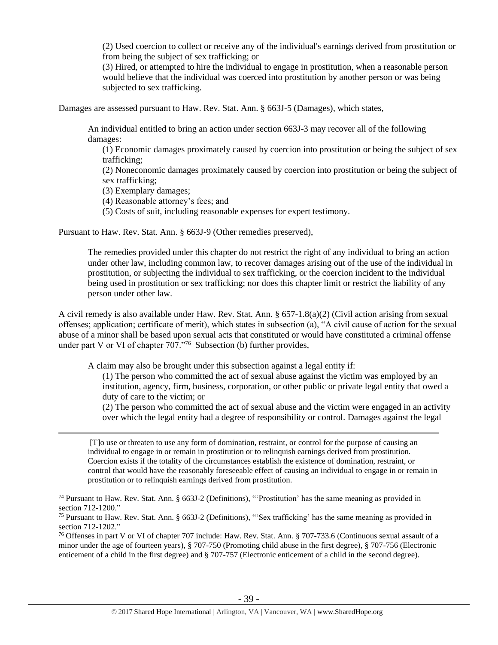(2) Used coercion to collect or receive any of the individual's earnings derived from prostitution or from being the subject of sex trafficking; or

(3) Hired, or attempted to hire the individual to engage in prostitution, when a reasonable person would believe that the individual was coerced into prostitution by another person or was being subjected to sex trafficking.

Damages are assessed pursuant to Haw. Rev. Stat. Ann. § 663J-5 (Damages), which states,

An individual entitled to bring an action under section 663J-3 may recover all of the following damages:

(1) Economic damages proximately caused by coercion into prostitution or being the subject of sex trafficking;

(2) Noneconomic damages proximately caused by coercion into prostitution or being the subject of sex trafficking;

(3) Exemplary damages;

 $\overline{a}$ 

(4) Reasonable attorney's fees; and

(5) Costs of suit, including reasonable expenses for expert testimony.

Pursuant to Haw. Rev. Stat. Ann. § 663J-9 (Other remedies preserved),

The remedies provided under this chapter do not restrict the right of any individual to bring an action under other law, including common law, to recover damages arising out of the use of the individual in prostitution, or subjecting the individual to sex trafficking, or the coercion incident to the individual being used in prostitution or sex trafficking; nor does this chapter limit or restrict the liability of any person under other law.

A civil remedy is also available under Haw. Rev. Stat. Ann. § 657-1.8(a)(2) (Civil action arising from sexual offenses; application; certificate of merit), which states in subsection (a), "A civil cause of action for the sexual abuse of a minor shall be based upon sexual acts that constituted or would have constituted a criminal offense under part V or VI of chapter 707."<sup>76</sup> Subsection (b) further provides,

A claim may also be brought under this subsection against a legal entity if:

(1) The person who committed the act of sexual abuse against the victim was employed by an institution, agency, firm, business, corporation, or other public or private legal entity that owed a duty of care to the victim; or

(2) The person who committed the act of sexual abuse and the victim were engaged in an activity over which the legal entity had a degree of responsibility or control. Damages against the legal

[T]o use or threaten to use any form of domination, restraint, or control for the purpose of causing an individual to engage in or remain in prostitution or to relinquish earnings derived from prostitution. Coercion exists if the totality of the circumstances establish the existence of domination, restraint, or control that would have the reasonably foreseeable effect of causing an individual to engage in or remain in prostitution or to relinquish earnings derived from prostitution.

<sup>74</sup> Pursuant to Haw. Rev. Stat. Ann. § 663J-2 (Definitions), "'Prostitution' has the same meaning as provided in section 712-1200."

<sup>75</sup> Pursuant to Haw. Rev. Stat. Ann. § 663J-2 (Definitions), "'Sex trafficking' has the same meaning as provided in section 712-1202."

<sup>76</sup> Offenses in part V or VI of chapter 707 include: Haw. Rev. Stat. Ann. § 707-733.6 (Continuous sexual assault of a minor under the age of fourteen years), § 707-750 (Promoting child abuse in the first degree), § 707-756 (Electronic enticement of a child in the first degree) and § 707-757 (Electronic enticement of a child in the second degree).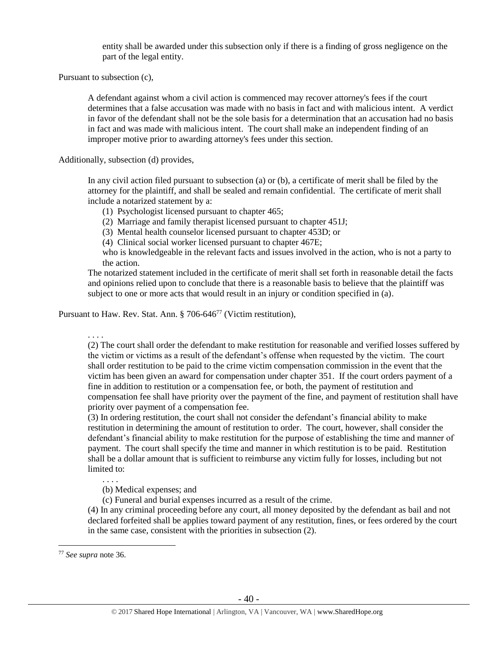entity shall be awarded under this subsection only if there is a finding of gross negligence on the part of the legal entity.

Pursuant to subsection (c),

A defendant against whom a civil action is commenced may recover attorney's fees if the court determines that a false accusation was made with no basis in fact and with malicious intent. A verdict in favor of the defendant shall not be the sole basis for a determination that an accusation had no basis in fact and was made with malicious intent. The court shall make an independent finding of an improper motive prior to awarding attorney's fees under this section.

Additionally, subsection (d) provides,

In any civil action filed pursuant to subsection (a) or (b), a certificate of merit shall be filed by the attorney for the plaintiff, and shall be sealed and remain confidential. The certificate of merit shall include a notarized statement by a:

- (1) Psychologist licensed pursuant to chapter 465;
- (2) Marriage and family therapist licensed pursuant to chapter 451J;
- (3) Mental health counselor licensed pursuant to chapter 453D; or

(4) Clinical social worker licensed pursuant to chapter 467E;

who is knowledgeable in the relevant facts and issues involved in the action, who is not a party to the action.

The notarized statement included in the certificate of merit shall set forth in reasonable detail the facts and opinions relied upon to conclude that there is a reasonable basis to believe that the plaintiff was subject to one or more acts that would result in an injury or condition specified in (a).

Pursuant to Haw. Rev. Stat. Ann. § 706-646<sup>77</sup> (Victim restitution),

. . . .

(2) The court shall order the defendant to make restitution for reasonable and verified losses suffered by the victim or victims as a result of the defendant's offense when requested by the victim. The court shall order restitution to be paid to the crime victim compensation commission in the event that the victim has been given an award for compensation under chapter 351. If the court orders payment of a fine in addition to restitution or a compensation fee, or both, the payment of restitution and compensation fee shall have priority over the payment of the fine, and payment of restitution shall have priority over payment of a compensation fee.

(3) In ordering restitution, the court shall not consider the defendant's financial ability to make restitution in determining the amount of restitution to order. The court, however, shall consider the defendant's financial ability to make restitution for the purpose of establishing the time and manner of payment. The court shall specify the time and manner in which restitution is to be paid. Restitution shall be a dollar amount that is sufficient to reimburse any victim fully for losses, including but not limited to:

(b) Medical expenses; and

(c) Funeral and burial expenses incurred as a result of the crime.

(4) In any criminal proceeding before any court, all money deposited by the defendant as bail and not declared forfeited shall be applies toward payment of any restitution, fines, or fees ordered by the court in the same case, consistent with the priorities in subsection (2).

 $\overline{a}$ 

. . . .

<sup>77</sup> *See supra* note [36.](#page-12-0)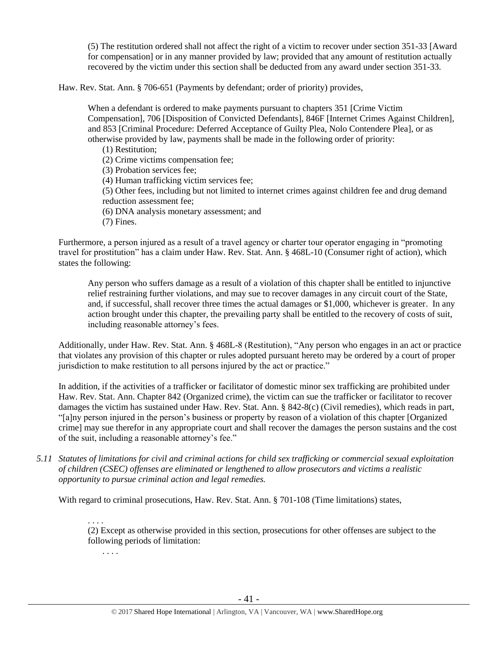(5) The restitution ordered shall not affect the right of a victim to recover under section 351-33 [Award for compensation] or in any manner provided by law; provided that any amount of restitution actually recovered by the victim under this section shall be deducted from any award under section 351-33.

Haw. Rev. Stat. Ann. § 706-651 (Payments by defendant; order of priority) provides,

When a defendant is ordered to make payments pursuant to chapters 351 [Crime Victim Compensation], 706 [Disposition of Convicted Defendants], 846F [Internet Crimes Against Children], and 853 [Criminal Procedure: Deferred Acceptance of Guilty Plea, Nolo Contendere Plea], or as otherwise provided by law, payments shall be made in the following order of priority:

(1) Restitution;

(2) Crime victims compensation fee;

(3) Probation services fee;

(4) Human trafficking victim services fee;

(5) Other fees, including but not limited to internet crimes against children fee and drug demand reduction assessment fee;

(6) DNA analysis monetary assessment; and

(7) Fines.

Furthermore, a person injured as a result of a travel agency or charter tour operator engaging in "promoting travel for prostitution" has a claim under Haw. Rev. Stat. Ann. § 468L-10 (Consumer right of action), which states the following:

Any person who suffers damage as a result of a violation of this chapter shall be entitled to injunctive relief restraining further violations, and may sue to recover damages in any circuit court of the State, and, if successful, shall recover three times the actual damages or \$1,000, whichever is greater. In any action brought under this chapter, the prevailing party shall be entitled to the recovery of costs of suit, including reasonable attorney's fees.

Additionally, under Haw. Rev. Stat. Ann. § 468L-8 (Restitution), "Any person who engages in an act or practice that violates any provision of this chapter or rules adopted pursuant hereto may be ordered by a court of proper jurisdiction to make restitution to all persons injured by the act or practice."

In addition, if the activities of a trafficker or facilitator of domestic minor sex trafficking are prohibited under Haw. Rev. Stat. Ann. Chapter 842 (Organized crime), the victim can sue the trafficker or facilitator to recover damages the victim has sustained under Haw. Rev. Stat. Ann. § 842-8(c) (Civil remedies), which reads in part, "[a]ny person injured in the person's business or property by reason of a violation of this chapter [Organized crime] may sue therefor in any appropriate court and shall recover the damages the person sustains and the cost of the suit, including a reasonable attorney's fee."

*5.11 Statutes of limitations for civil and criminal actions for child sex trafficking or commercial sexual exploitation of children (CSEC) offenses are eliminated or lengthened to allow prosecutors and victims a realistic opportunity to pursue criminal action and legal remedies.*

With regard to criminal prosecutions, Haw. Rev. Stat. Ann. § 701-108 (Time limitations) states,

. . . .

(2) Except as otherwise provided in this section, prosecutions for other offenses are subject to the following periods of limitation:

. . . .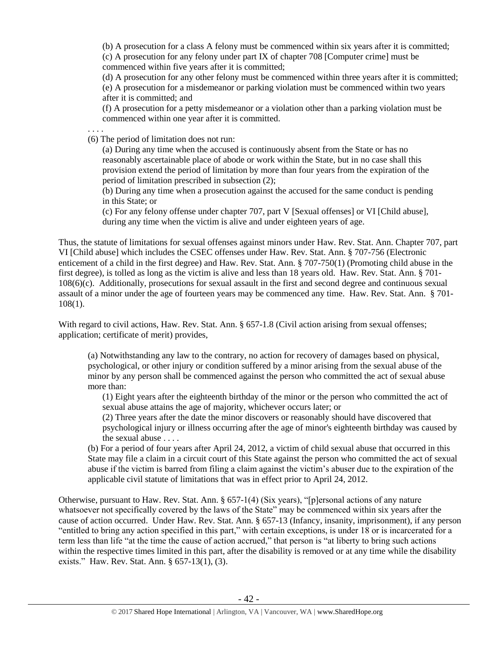(b) A prosecution for a class A felony must be commenced within six years after it is committed;

(c) A prosecution for any felony under part IX of chapter 708 [Computer crime] must be commenced within five years after it is committed;

(d) A prosecution for any other felony must be commenced within three years after it is committed;

(e) A prosecution for a misdemeanor or parking violation must be commenced within two years after it is committed; and

(f) A prosecution for a petty misdemeanor or a violation other than a parking violation must be commenced within one year after it is committed.

(6) The period of limitation does not run:

. . . .

(a) During any time when the accused is continuously absent from the State or has no reasonably ascertainable place of abode or work within the State, but in no case shall this provision extend the period of limitation by more than four years from the expiration of the period of limitation prescribed in subsection (2);

(b) During any time when a prosecution against the accused for the same conduct is pending in this State; or

(c) For any felony offense under chapter 707, part V [Sexual offenses] or VI [Child abuse], during any time when the victim is alive and under eighteen years of age.

Thus, the statute of limitations for sexual offenses against minors under Haw. Rev. Stat. Ann. Chapter 707, part VI [Child abuse] which includes the CSEC offenses under Haw. Rev. Stat. Ann. § 707-756 (Electronic enticement of a child in the first degree) and Haw. Rev. Stat. Ann. § 707-750(1) (Promoting child abuse in the first degree), is tolled as long as the victim is alive and less than 18 years old. Haw. Rev. Stat. Ann. § 701- 108(6)(c). Additionally, prosecutions for sexual assault in the first and second degree and continuous sexual assault of a minor under the age of fourteen years may be commenced any time. Haw. Rev. Stat. Ann. § 701- 108(1).

With regard to civil actions, Haw. Rev. Stat. Ann. § 657-1.8 (Civil action arising from sexual offenses; application; certificate of merit) provides,

(a) Notwithstanding any law to the contrary, no action for recovery of damages based on physical, psychological, or other injury or condition suffered by a minor arising from the sexual abuse of the minor by any person shall be commenced against the person who committed the act of sexual abuse more than:

(1) Eight years after the eighteenth birthday of the minor or the person who committed the act of sexual abuse attains the age of majority, whichever occurs later; or

(2) Three years after the date the minor discovers or reasonably should have discovered that psychological injury or illness occurring after the age of minor's eighteenth birthday was caused by the sexual abuse . . . .

(b) For a period of four years after April 24, 2012, a victim of child sexual abuse that occurred in this State may file a claim in a circuit court of this State against the person who committed the act of sexual abuse if the victim is barred from filing a claim against the victim's abuser due to the expiration of the applicable civil statute of limitations that was in effect prior to April 24, 2012.

Otherwise, pursuant to Haw. Rev. Stat. Ann. § 657-1(4) (Six years), "[p]ersonal actions of any nature whatsoever not specifically covered by the laws of the State" may be commenced within six years after the cause of action occurred. Under Haw. Rev. Stat. Ann. § 657-13 (Infancy, insanity, imprisonment), if any person "entitled to bring any action specified in this part," with certain exceptions, is under 18 or is incarcerated for a term less than life "at the time the cause of action accrued," that person is "at liberty to bring such actions within the respective times limited in this part, after the disability is removed or at any time while the disability exists." Haw. Rev. Stat. Ann. § 657-13(1), (3).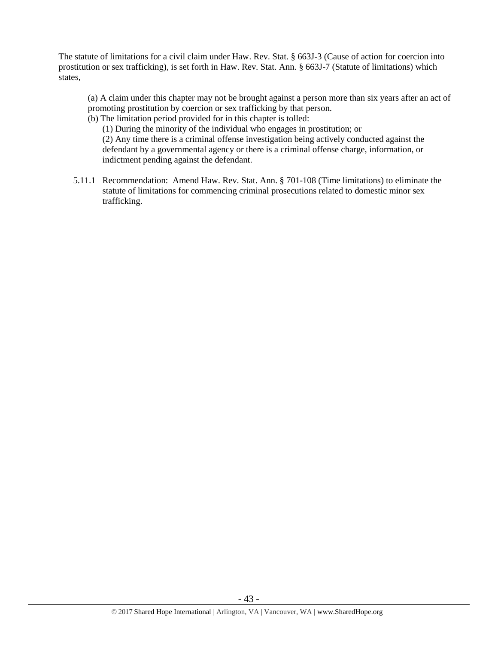The statute of limitations for a civil claim under Haw. Rev. Stat. § 663J-3 (Cause of action for coercion into prostitution or sex trafficking), is set forth in Haw. Rev. Stat. Ann. § 663J-7 (Statute of limitations) which states,

(a) A claim under this chapter may not be brought against a person more than six years after an act of promoting prostitution by coercion or sex trafficking by that person.

(b) The limitation period provided for in this chapter is tolled:

(1) During the minority of the individual who engages in prostitution; or (2) Any time there is a criminal offense investigation being actively conducted against the defendant by a governmental agency or there is a criminal offense charge, information, or indictment pending against the defendant.

5.11.1 Recommendation: Amend Haw. Rev. Stat. Ann. § 701-108 (Time limitations) to eliminate the statute of limitations for commencing criminal prosecutions related to domestic minor sex trafficking.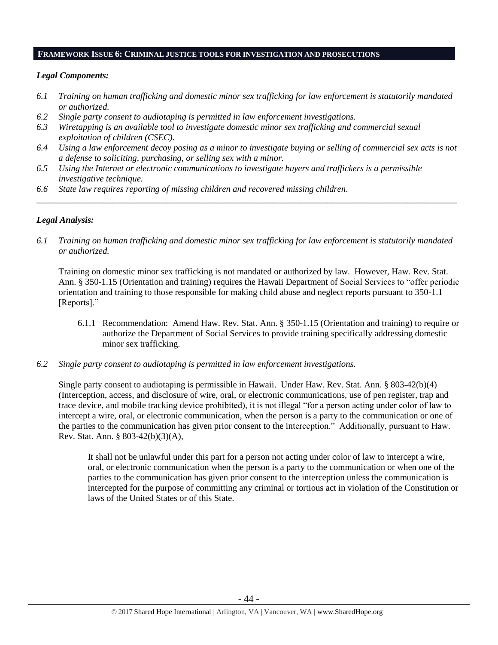#### **FRAMEWORK ISSUE 6: CRIMINAL JUSTICE TOOLS FOR INVESTIGATION AND PROSECUTIONS**

#### *Legal Components:*

- *6.1 Training on human trafficking and domestic minor sex trafficking for law enforcement is statutorily mandated or authorized.*
- *6.2 Single party consent to audiotaping is permitted in law enforcement investigations.*
- *6.3 Wiretapping is an available tool to investigate domestic minor sex trafficking and commercial sexual exploitation of children (CSEC).*
- *6.4 Using a law enforcement decoy posing as a minor to investigate buying or selling of commercial sex acts is not a defense to soliciting, purchasing, or selling sex with a minor.*

*\_\_\_\_\_\_\_\_\_\_\_\_\_\_\_\_\_\_\_\_\_\_\_\_\_\_\_\_\_\_\_\_\_\_\_\_\_\_\_\_\_\_\_\_\_\_\_\_\_\_\_\_\_\_\_\_\_\_\_\_\_\_\_\_\_\_\_\_\_\_\_\_\_\_\_\_\_\_\_\_\_\_\_\_\_\_\_\_\_\_\_\_\_\_*

- *6.5 Using the Internet or electronic communications to investigate buyers and traffickers is a permissible investigative technique.*
- *6.6 State law requires reporting of missing children and recovered missing children.*

#### *Legal Analysis:*

*6.1 Training on human trafficking and domestic minor sex trafficking for law enforcement is statutorily mandated or authorized.*

Training on domestic minor sex trafficking is not mandated or authorized by law. However, Haw. Rev. Stat. Ann. § 350-1.15 (Orientation and training) requires the Hawaii Department of Social Services to "offer periodic orientation and training to those responsible for making child abuse and neglect reports pursuant to 350-1.1 [Reports]."

- 6.1.1 Recommendation: Amend Haw. Rev. Stat. Ann. § 350-1.15 (Orientation and training) to require or authorize the Department of Social Services to provide training specifically addressing domestic minor sex trafficking.
- *6.2 Single party consent to audiotaping is permitted in law enforcement investigations.*

Single party consent to audiotaping is permissible in Hawaii. Under Haw. Rev. Stat. Ann. § 803-42(b)(4) (Interception, access, and disclosure of wire, oral, or electronic communications, use of pen register, trap and trace device, and mobile tracking device prohibited), it is not illegal "for a person acting under color of law to intercept a wire, oral, or electronic communication, when the person is a party to the communication or one of the parties to the communication has given prior consent to the interception." Additionally, pursuant to Haw. Rev. Stat. Ann. § 803-42(b)(3)(A),

It shall not be unlawful under this part for a person not acting under color of law to intercept a wire, oral, or electronic communication when the person is a party to the communication or when one of the parties to the communication has given prior consent to the interception unless the communication is intercepted for the purpose of committing any criminal or tortious act in violation of the Constitution or laws of the United States or of this State.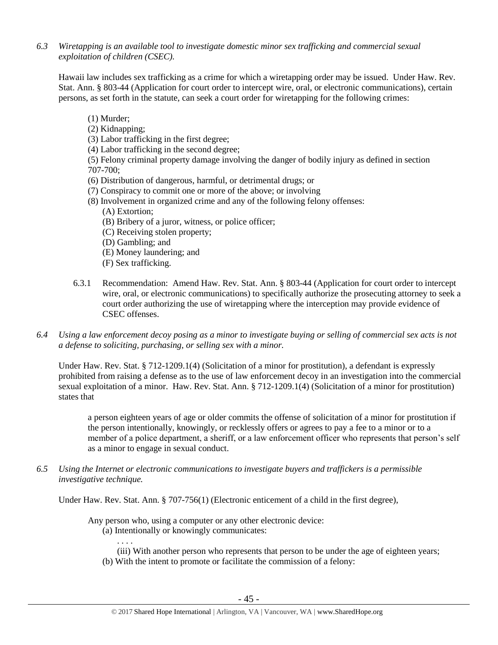*6.3 Wiretapping is an available tool to investigate domestic minor sex trafficking and commercial sexual exploitation of children (CSEC).* 

Hawaii law includes sex trafficking as a crime for which a wiretapping order may be issued. Under Haw. Rev. Stat. Ann. § 803-44 (Application for court order to intercept wire, oral, or electronic communications), certain persons, as set forth in the statute, can seek a court order for wiretapping for the following crimes:

- (1) Murder;
- (2) Kidnapping;
- (3) Labor trafficking in the first degree;
- (4) Labor trafficking in the second degree;

(5) Felony criminal property damage involving the danger of bodily injury as defined in section 707-700;

- (6) Distribution of dangerous, harmful, or detrimental drugs; or
- (7) Conspiracy to commit one or more of the above; or involving
- (8) Involvement in organized crime and any of the following felony offenses:
	- (A) Extortion;
	- (B) Bribery of a juror, witness, or police officer;
	- (C) Receiving stolen property;
	- (D) Gambling; and
	- (E) Money laundering; and
	- (F) Sex trafficking.
- 6.3.1 Recommendation: Amend Haw. Rev. Stat. Ann. § 803-44 (Application for court order to intercept wire, oral, or electronic communications) to specifically authorize the prosecuting attorney to seek a court order authorizing the use of wiretapping where the interception may provide evidence of CSEC offenses.
- *6.4 Using a law enforcement decoy posing as a minor to investigate buying or selling of commercial sex acts is not a defense to soliciting, purchasing, or selling sex with a minor.*

Under Haw. Rev. Stat. § 712-1209.1(4) (Solicitation of a minor for prostitution), a defendant is expressly prohibited from raising a defense as to the use of law enforcement decoy in an investigation into the commercial sexual exploitation of a minor. Haw. Rev. Stat. Ann. § 712-1209.1(4) (Solicitation of a minor for prostitution) states that

a person eighteen years of age or older commits the offense of solicitation of a minor for prostitution if the person intentionally, knowingly, or recklessly offers or agrees to pay a fee to a minor or to a member of a police department, a sheriff, or a law enforcement officer who represents that person's self as a minor to engage in sexual conduct.

*6.5 Using the Internet or electronic communications to investigate buyers and traffickers is a permissible investigative technique.*

Under Haw. Rev. Stat. Ann. § 707-756(1) (Electronic enticement of a child in the first degree),

Any person who, using a computer or any other electronic device:

(a) Intentionally or knowingly communicates:

. . . . (iii) With another person who represents that person to be under the age of eighteen years; (b) With the intent to promote or facilitate the commission of a felony: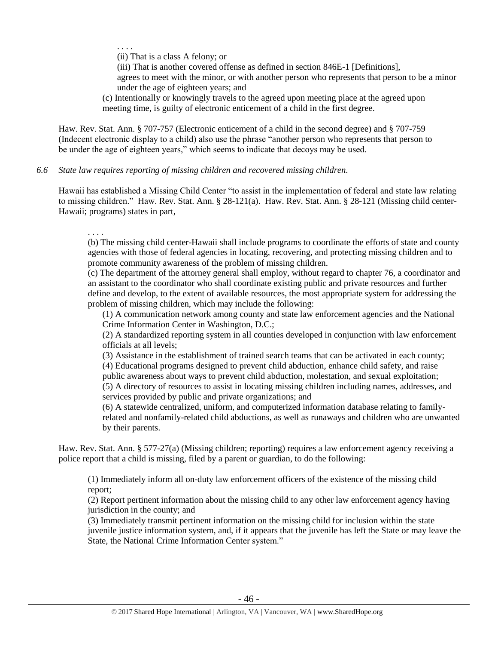. . . .

(ii) That is a class A felony; or

(iii) That is another covered offense as defined in section 846E-1 [Definitions], agrees to meet with the minor, or with another person who represents that person to be a minor under the age of eighteen years; and

(c) Intentionally or knowingly travels to the agreed upon meeting place at the agreed upon meeting time, is guilty of electronic enticement of a child in the first degree.

Haw. Rev. Stat. Ann. § 707-757 (Electronic enticement of a child in the second degree) and § 707-759 (Indecent electronic display to a child) also use the phrase "another person who represents that person to be under the age of eighteen years," which seems to indicate that decoys may be used.

#### *6.6 State law requires reporting of missing children and recovered missing children.*

Hawaii has established a Missing Child Center "to assist in the implementation of federal and state law relating to missing children." Haw. Rev. Stat. Ann. § 28-121(a). Haw. Rev. Stat. Ann. § 28-121 (Missing child center-Hawaii; programs) states in part,

. . . .

(b) The missing child center-Hawaii shall include programs to coordinate the efforts of state and county agencies with those of federal agencies in locating, recovering, and protecting missing children and to promote community awareness of the problem of missing children.

(c) The department of the attorney general shall employ, without regard to chapter 76, a coordinator and an assistant to the coordinator who shall coordinate existing public and private resources and further define and develop, to the extent of available resources, the most appropriate system for addressing the problem of missing children, which may include the following:

(1) A communication network among county and state law enforcement agencies and the National Crime Information Center in Washington, D.C.;

(2) A standardized reporting system in all counties developed in conjunction with law enforcement officials at all levels;

(3) Assistance in the establishment of trained search teams that can be activated in each county;

(4) Educational programs designed to prevent child abduction, enhance child safety, and raise

public awareness about ways to prevent child abduction, molestation, and sexual exploitation;

(5) A directory of resources to assist in locating missing children including names, addresses, and services provided by public and private organizations; and

(6) A statewide centralized, uniform, and computerized information database relating to familyrelated and nonfamily-related child abductions, as well as runaways and children who are unwanted by their parents.

Haw. Rev. Stat. Ann. § 577-27(a) (Missing children; reporting) requires a law enforcement agency receiving a police report that a child is missing, filed by a parent or guardian, to do the following:

(1) Immediately inform all on-duty law enforcement officers of the existence of the missing child report;

(2) Report pertinent information about the missing child to any other law enforcement agency having jurisdiction in the county; and

(3) Immediately transmit pertinent information on the missing child for inclusion within the state juvenile justice information system, and, if it appears that the juvenile has left the State or may leave the State, the National Crime Information Center system."